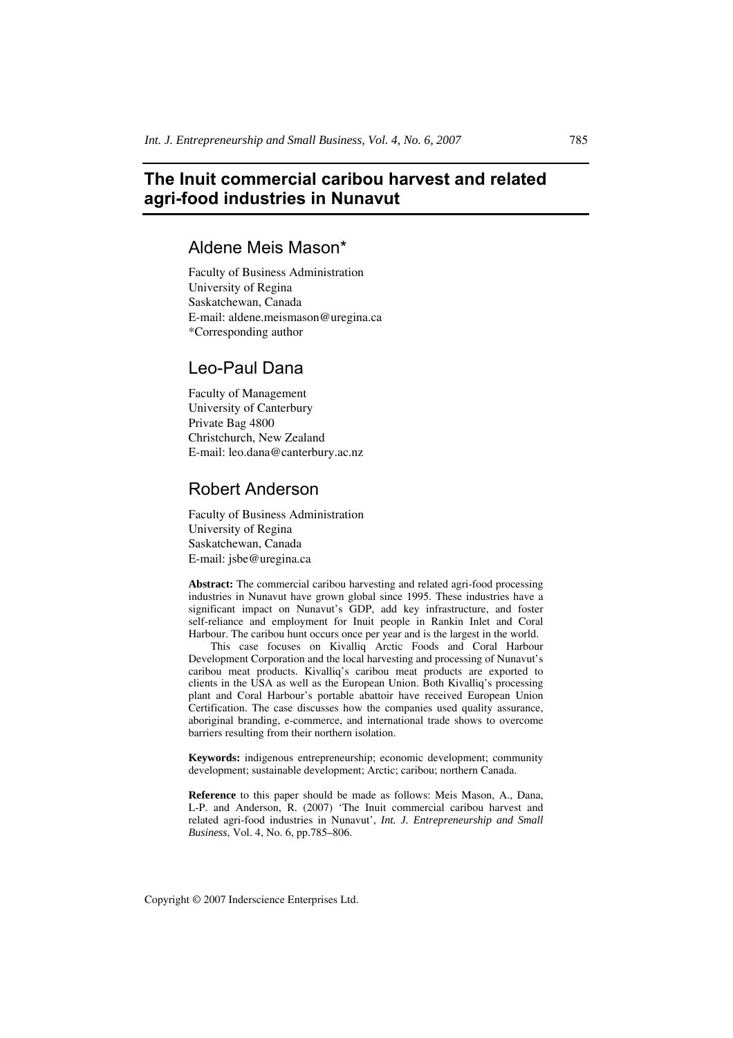# **The Inuit commercial caribou harvest and related agri-food industries in Nunavut**

## Aldene Meis Mason\*

Faculty of Business Administration University of Regina Saskatchewan, Canada E-mail: aldene.meismason@uregina.ca \*Corresponding author

## Leo-Paul Dana

Faculty of Management University of Canterbury Private Bag 4800 Christchurch, New Zealand E-mail: leo.dana@canterbury.ac.nz

## Robert Anderson

Faculty of Business Administration University of Regina Saskatchewan, Canada E-mail: jsbe@uregina.ca

**Abstract:** The commercial caribou harvesting and related agri-food processing industries in Nunavut have grown global since 1995. These industries have a significant impact on Nunavut's GDP, add key infrastructure, and foster self-reliance and employment for Inuit people in Rankin Inlet and Coral Harbour. The caribou hunt occurs once per year and is the largest in the world.

This case focuses on Kivalliq Arctic Foods and Coral Harbour Development Corporation and the local harvesting and processing of Nunavut's caribou meat products. Kivalliq's caribou meat products are exported to clients in the USA as well as the European Union. Both Kivalliq's processing plant and Coral Harbour's portable abattoir have received European Union Certification. The case discusses how the companies used quality assurance, aboriginal branding, e-commerce, and international trade shows to overcome barriers resulting from their northern isolation.

**Keywords:** indigenous entrepreneurship; economic development; community development; sustainable development; Arctic; caribou; northern Canada.

**Reference** to this paper should be made as follows: Meis Mason, A., Dana, L-P. and Anderson, R. (2007) 'The Inuit commercial caribou harvest and related agri-food industries in Nunavut', *Int. J. Entrepreneurship and Small Business*, Vol. 4, No. 6, pp.785–806.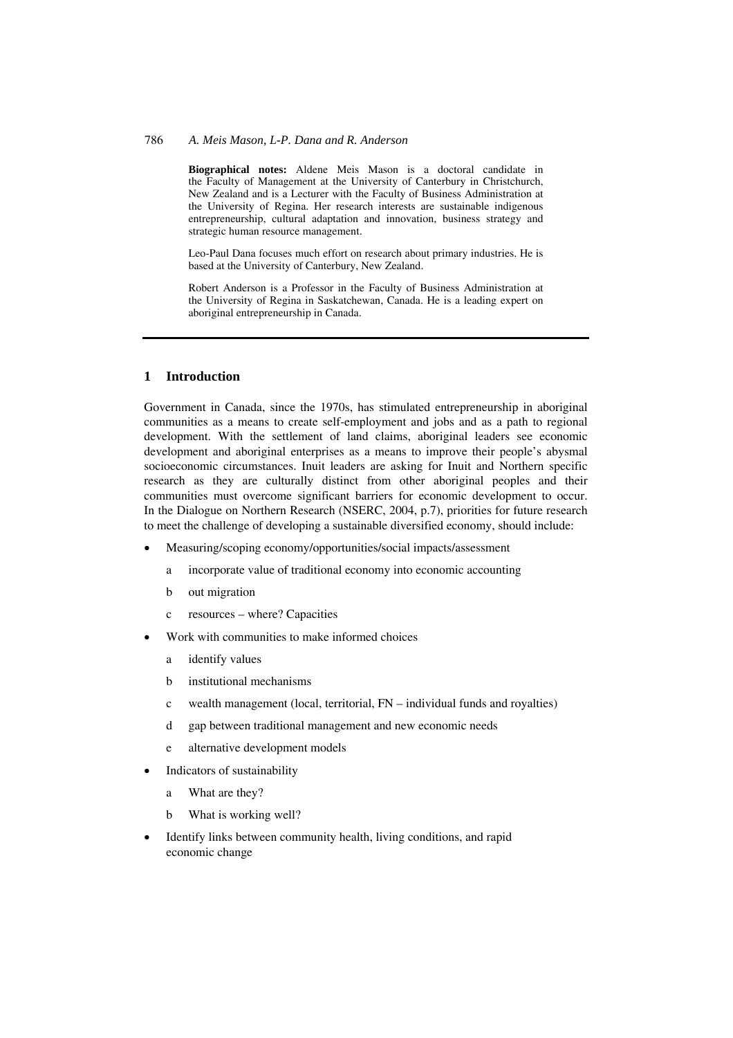**Biographical notes:** Aldene Meis Mason is a doctoral candidate in the Faculty of Management at the University of Canterbury in Christchurch, New Zealand and is a Lecturer with the Faculty of Business Administration at the University of Regina. Her research interests are sustainable indigenous entrepreneurship, cultural adaptation and innovation, business strategy and strategic human resource management.

Leo-Paul Dana focuses much effort on research about primary industries. He is based at the University of Canterbury, New Zealand.

Robert Anderson is a Professor in the Faculty of Business Administration at the University of Regina in Saskatchewan, Canada. He is a leading expert on aboriginal entrepreneurship in Canada.

## **1 Introduction**

Government in Canada, since the 1970s, has stimulated entrepreneurship in aboriginal communities as a means to create self-employment and jobs and as a path to regional development. With the settlement of land claims, aboriginal leaders see economic development and aboriginal enterprises as a means to improve their people's abysmal socioeconomic circumstances. Inuit leaders are asking for Inuit and Northern specific research as they are culturally distinct from other aboriginal peoples and their communities must overcome significant barriers for economic development to occur. In the Dialogue on Northern Research (NSERC, 2004, p.7), priorities for future research to meet the challenge of developing a sustainable diversified economy, should include:

- Measuring/scoping economy/opportunities/social impacts/assessment
	- a incorporate value of traditional economy into economic accounting
	- b out migration
	- c resources where? Capacities
- Work with communities to make informed choices
	- a identify values
	- b institutional mechanisms
	- c wealth management (local, territorial, FN individual funds and royalties)
	- d gap between traditional management and new economic needs
	- e alternative development models
- Indicators of sustainability
	- a What are they?
	- b What is working well?
- Identify links between community health, living conditions, and rapid economic change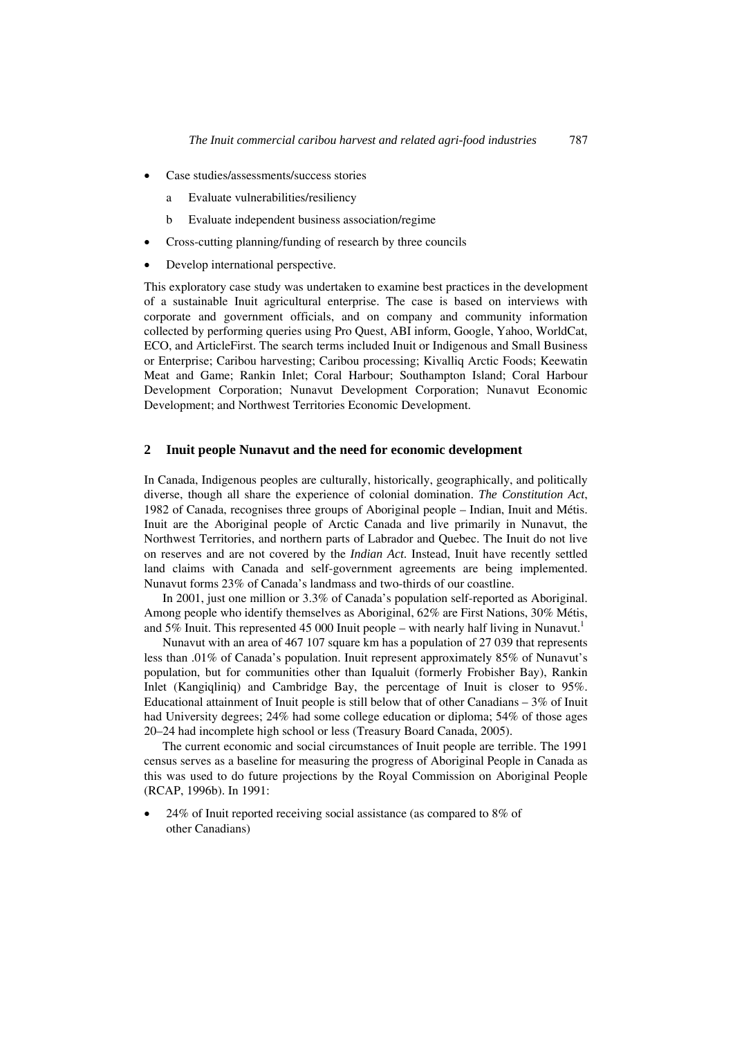- Case studies/assessments/success stories
	- a Evaluate vulnerabilities/resiliency
	- b Evaluate independent business association/regime
- Cross-cutting planning/funding of research by three councils
- Develop international perspective.

This exploratory case study was undertaken to examine best practices in the development of a sustainable Inuit agricultural enterprise. The case is based on interviews with corporate and government officials, and on company and community information collected by performing queries using Pro Quest, ABI inform, Google, Yahoo, WorldCat, ECO, and ArticleFirst. The search terms included Inuit or Indigenous and Small Business or Enterprise; Caribou harvesting; Caribou processing; Kivalliq Arctic Foods; Keewatin Meat and Game; Rankin Inlet; Coral Harbour; Southampton Island; Coral Harbour Development Corporation; Nunavut Development Corporation; Nunavut Economic Development; and Northwest Territories Economic Development.

#### **2 Inuit people Nunavut and the need for economic development**

In Canada, Indigenous peoples are culturally, historically, geographically, and politically diverse, though all share the experience of colonial domination. *The Constitution Act*, 1982 of Canada, recognises three groups of Aboriginal people – Indian, Inuit and Métis. Inuit are the Aboriginal people of Arctic Canada and live primarily in Nunavut, the Northwest Territories, and northern parts of Labrador and Quebec. The Inuit do not live on reserves and are not covered by the *Indian Act*. Instead, Inuit have recently settled land claims with Canada and self-government agreements are being implemented. Nunavut forms 23% of Canada's landmass and two-thirds of our coastline.

In 2001, just one million or 3.3% of Canada's population self-reported as Aboriginal. Among people who identify themselves as Aboriginal, 62% are First Nations, 30% Métis, and 5% Inuit. This represented 45 000 Inuit people – with nearly half living in Nunavut.<sup>1</sup>

Nunavut with an area of 467 107 square km has a population of 27 039 that represents less than .01% of Canada's population. Inuit represent approximately 85% of Nunavut's population, but for communities other than Iqualuit (formerly Frobisher Bay), Rankin Inlet (Kangiqliniq) and Cambridge Bay, the percentage of Inuit is closer to 95%. Educational attainment of Inuit people is still below that of other Canadians – 3% of Inuit had University degrees; 24% had some college education or diploma; 54% of those ages 20–24 had incomplete high school or less (Treasury Board Canada, 2005).

The current economic and social circumstances of Inuit people are terrible. The 1991 census serves as a baseline for measuring the progress of Aboriginal People in Canada as this was used to do future projections by the Royal Commission on Aboriginal People (RCAP, 1996b). In 1991:

• 24% of Inuit reported receiving social assistance (as compared to 8% of other Canadians)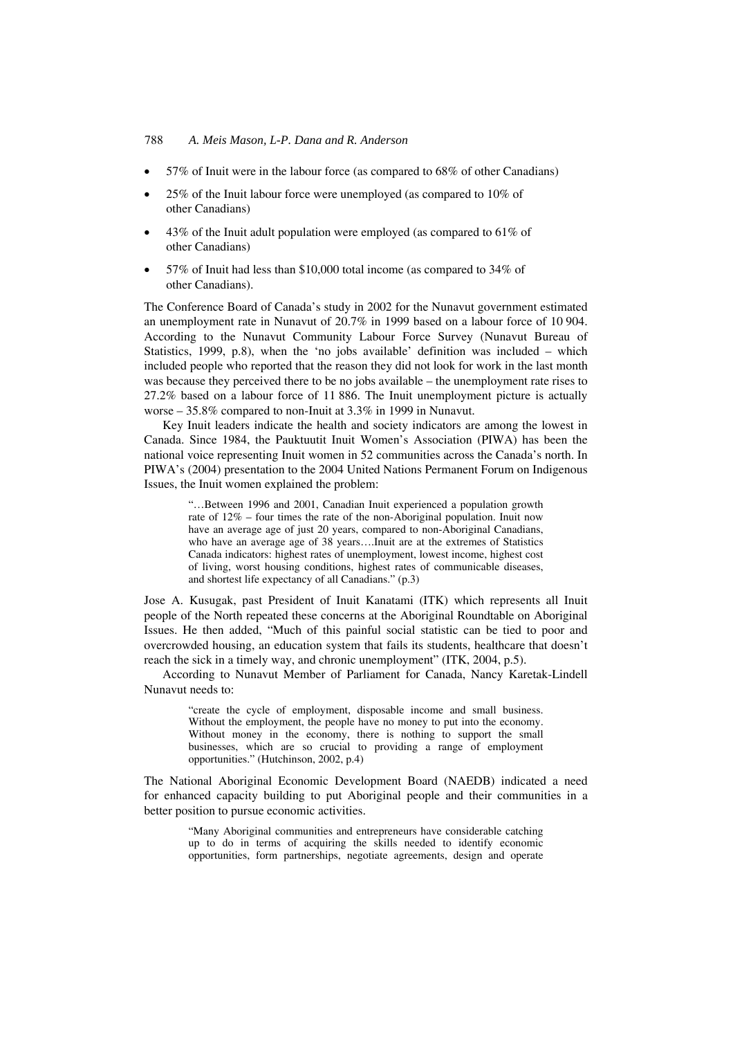- 57% of Inuit were in the labour force (as compared to 68% of other Canadians)
- 25% of the Inuit labour force were unemployed (as compared to 10% of other Canadians)
- 43% of the Inuit adult population were employed (as compared to 61% of other Canadians)
- 57% of Inuit had less than \$10,000 total income (as compared to 34% of other Canadians).

The Conference Board of Canada's study in 2002 for the Nunavut government estimated an unemployment rate in Nunavut of 20.7% in 1999 based on a labour force of 10 904. According to the Nunavut Community Labour Force Survey (Nunavut Bureau of Statistics, 1999, p.8), when the 'no jobs available' definition was included – which included people who reported that the reason they did not look for work in the last month was because they perceived there to be no jobs available – the unemployment rate rises to 27.2% based on a labour force of 11 886. The Inuit unemployment picture is actually worse – 35.8% compared to non-Inuit at 3.3% in 1999 in Nunavut.

Key Inuit leaders indicate the health and society indicators are among the lowest in Canada. Since 1984, the Pauktuutit Inuit Women's Association (PIWA) has been the national voice representing Inuit women in 52 communities across the Canada's north. In PIWA's (2004) presentation to the 2004 United Nations Permanent Forum on Indigenous Issues, the Inuit women explained the problem:

"…Between 1996 and 2001, Canadian Inuit experienced a population growth rate of 12% – four times the rate of the non-Aboriginal population. Inuit now have an average age of just 20 years, compared to non-Aboriginal Canadians, who have an average age of 38 years….Inuit are at the extremes of Statistics Canada indicators: highest rates of unemployment, lowest income, highest cost of living, worst housing conditions, highest rates of communicable diseases, and shortest life expectancy of all Canadians." (p.3)

Jose A. Kusugak, past President of Inuit Kanatami (ITK) which represents all Inuit people of the North repeated these concerns at the Aboriginal Roundtable on Aboriginal Issues. He then added, "Much of this painful social statistic can be tied to poor and overcrowded housing, an education system that fails its students, healthcare that doesn't reach the sick in a timely way, and chronic unemployment" (ITK, 2004, p.5).

According to Nunavut Member of Parliament for Canada, Nancy Karetak-Lindell Nunavut needs to:

> "create the cycle of employment, disposable income and small business. Without the employment, the people have no money to put into the economy. Without money in the economy, there is nothing to support the small businesses, which are so crucial to providing a range of employment opportunities." (Hutchinson, 2002, p.4)

The National Aboriginal Economic Development Board (NAEDB) indicated a need for enhanced capacity building to put Aboriginal people and their communities in a better position to pursue economic activities.

"Many Aboriginal communities and entrepreneurs have considerable catching up to do in terms of acquiring the skills needed to identify economic opportunities, form partnerships, negotiate agreements, design and operate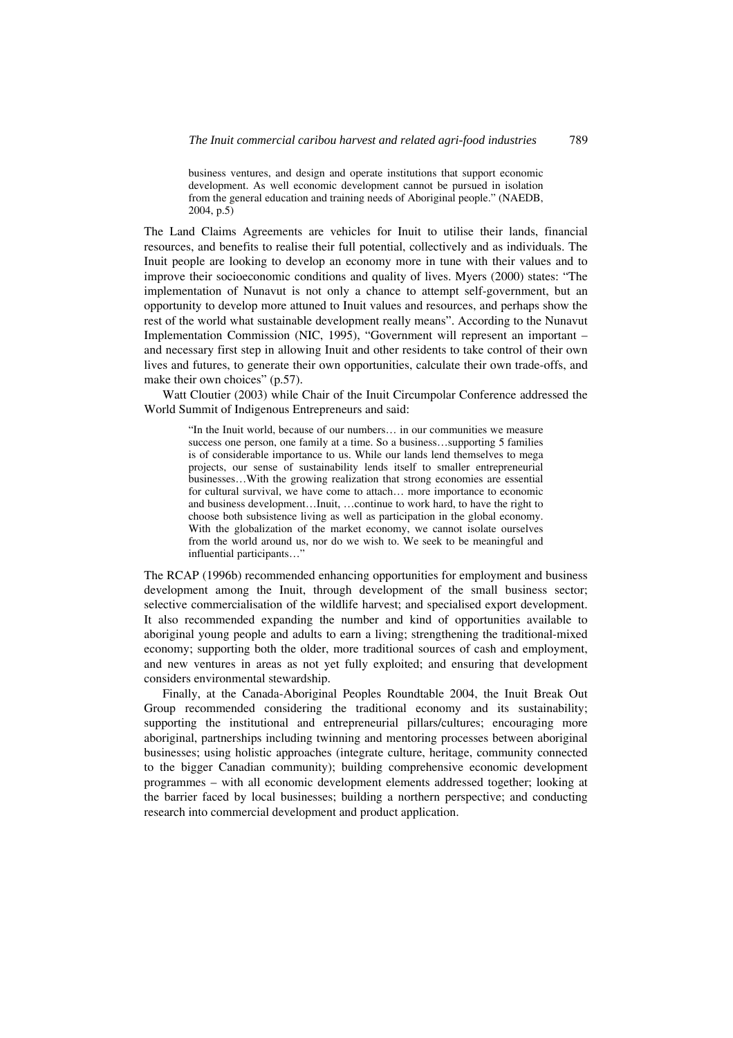business ventures, and design and operate institutions that support economic development. As well economic development cannot be pursued in isolation from the general education and training needs of Aboriginal people." (NAEDB, 2004, p.5)

The Land Claims Agreements are vehicles for Inuit to utilise their lands, financial resources, and benefits to realise their full potential, collectively and as individuals. The Inuit people are looking to develop an economy more in tune with their values and to improve their socioeconomic conditions and quality of lives. Myers (2000) states: "The implementation of Nunavut is not only a chance to attempt self-government, but an opportunity to develop more attuned to Inuit values and resources, and perhaps show the rest of the world what sustainable development really means". According to the Nunavut Implementation Commission (NIC, 1995), "Government will represent an important – and necessary first step in allowing Inuit and other residents to take control of their own lives and futures, to generate their own opportunities, calculate their own trade-offs, and make their own choices" (p.57).

Watt Cloutier (2003) while Chair of the Inuit Circumpolar Conference addressed the World Summit of Indigenous Entrepreneurs and said:

> "In the Inuit world, because of our numbers… in our communities we measure success one person, one family at a time. So a business...supporting 5 families is of considerable importance to us. While our lands lend themselves to mega projects, our sense of sustainability lends itself to smaller entrepreneurial businesses…With the growing realization that strong economies are essential for cultural survival, we have come to attach… more importance to economic and business development…Inuit, …continue to work hard, to have the right to choose both subsistence living as well as participation in the global economy. With the globalization of the market economy, we cannot isolate ourselves from the world around us, nor do we wish to. We seek to be meaningful and influential participants…"

The RCAP (1996b) recommended enhancing opportunities for employment and business development among the Inuit, through development of the small business sector; selective commercialisation of the wildlife harvest; and specialised export development. It also recommended expanding the number and kind of opportunities available to aboriginal young people and adults to earn a living; strengthening the traditional-mixed economy; supporting both the older, more traditional sources of cash and employment, and new ventures in areas as not yet fully exploited; and ensuring that development considers environmental stewardship.

Finally, at the Canada-Aboriginal Peoples Roundtable 2004, the Inuit Break Out Group recommended considering the traditional economy and its sustainability; supporting the institutional and entrepreneurial pillars/cultures; encouraging more aboriginal, partnerships including twinning and mentoring processes between aboriginal businesses; using holistic approaches (integrate culture, heritage, community connected to the bigger Canadian community); building comprehensive economic development programmes – with all economic development elements addressed together; looking at the barrier faced by local businesses; building a northern perspective; and conducting research into commercial development and product application.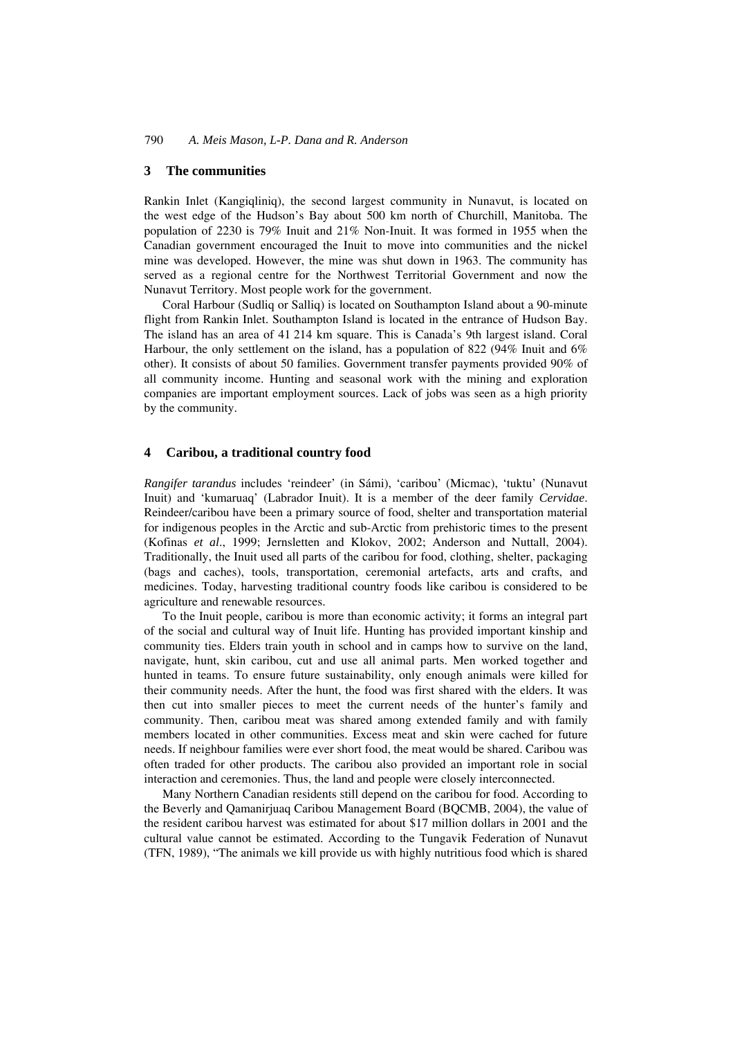#### **3 The communities**

Rankin Inlet (Kangiqliniq), the second largest community in Nunavut, is located on the west edge of the Hudson's Bay about 500 km north of Churchill, Manitoba. The population of 2230 is 79% Inuit and 21% Non-Inuit. It was formed in 1955 when the Canadian government encouraged the Inuit to move into communities and the nickel mine was developed. However, the mine was shut down in 1963. The community has served as a regional centre for the Northwest Territorial Government and now the Nunavut Territory. Most people work for the government.

Coral Harbour (Sudliq or Salliq) is located on Southampton Island about a 90-minute flight from Rankin Inlet. Southampton Island is located in the entrance of Hudson Bay. The island has an area of 41 214 km square. This is Canada's 9th largest island. Coral Harbour, the only settlement on the island, has a population of 822 (94% Inuit and 6% other). It consists of about 50 families. Government transfer payments provided 90% of all community income. Hunting and seasonal work with the mining and exploration companies are important employment sources. Lack of jobs was seen as a high priority by the community.

## **4 Caribou, a traditional country food**

*Rangifer tarandus* includes 'reindeer' (in Sámi), 'caribou' (Micmac), 'tuktu' (Nunavut Inuit) and 'kumaruaq' (Labrador Inuit). It is a member of the deer family *Cervidae*. Reindeer/caribou have been a primary source of food, shelter and transportation material for indigenous peoples in the Arctic and sub-Arctic from prehistoric times to the present (Kofinas *et al*., 1999; Jernsletten and Klokov, 2002; Anderson and Nuttall, 2004). Traditionally, the Inuit used all parts of the caribou for food, clothing, shelter, packaging (bags and caches), tools, transportation, ceremonial artefacts, arts and crafts, and medicines. Today, harvesting traditional country foods like caribou is considered to be agriculture and renewable resources.

To the Inuit people, caribou is more than economic activity; it forms an integral part of the social and cultural way of Inuit life. Hunting has provided important kinship and community ties. Elders train youth in school and in camps how to survive on the land, navigate, hunt, skin caribou, cut and use all animal parts. Men worked together and hunted in teams. To ensure future sustainability, only enough animals were killed for their community needs. After the hunt, the food was first shared with the elders. It was then cut into smaller pieces to meet the current needs of the hunter's family and community. Then, caribou meat was shared among extended family and with family members located in other communities. Excess meat and skin were cached for future needs. If neighbour families were ever short food, the meat would be shared. Caribou was often traded for other products. The caribou also provided an important role in social interaction and ceremonies. Thus, the land and people were closely interconnected.

Many Northern Canadian residents still depend on the caribou for food. According to the Beverly and Qamanirjuaq Caribou Management Board (BQCMB, 2004), the value of the resident caribou harvest was estimated for about \$17 million dollars in 2001 and the cultural value cannot be estimated. According to the Tungavik Federation of Nunavut (TFN, 1989), "The animals we kill provide us with highly nutritious food which is shared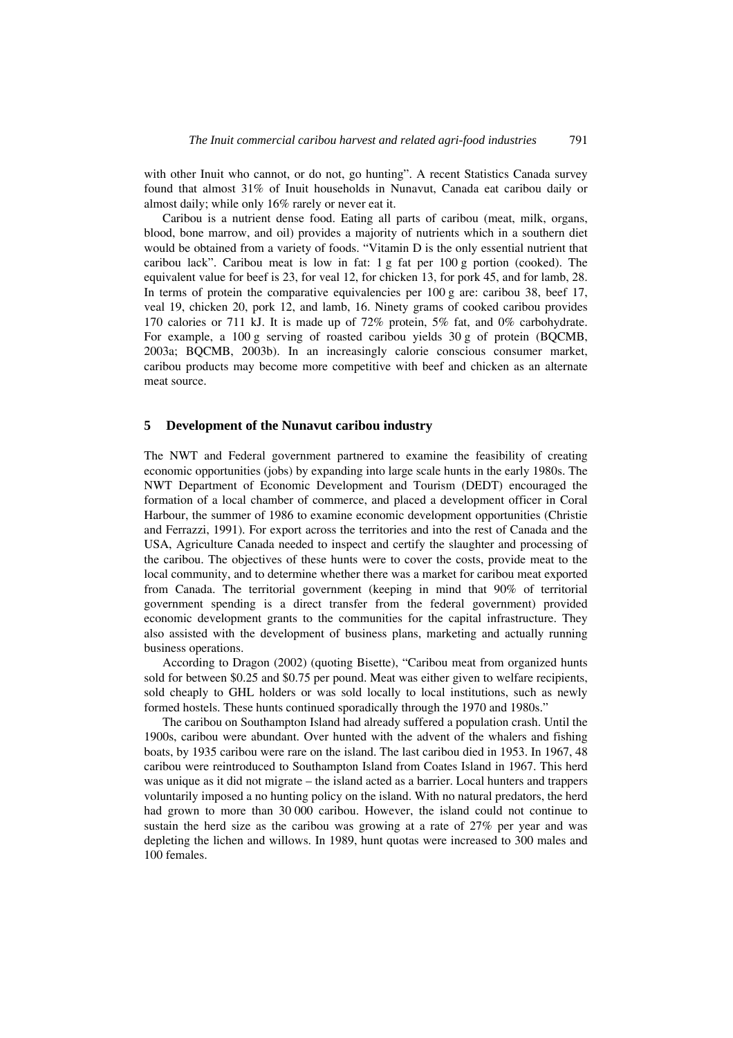with other Inuit who cannot, or do not, go hunting". A recent Statistics Canada survey found that almost 31% of Inuit households in Nunavut, Canada eat caribou daily or almost daily; while only 16% rarely or never eat it.

Caribou is a nutrient dense food. Eating all parts of caribou (meat, milk, organs, blood, bone marrow, and oil) provides a majority of nutrients which in a southern diet would be obtained from a variety of foods. "Vitamin D is the only essential nutrient that caribou lack". Caribou meat is low in fat: 1 g fat per 100 g portion (cooked). The equivalent value for beef is 23, for veal 12, for chicken 13, for pork 45, and for lamb, 28. In terms of protein the comparative equivalencies per 100 g are: caribou 38, beef 17, veal 19, chicken 20, pork 12, and lamb, 16. Ninety grams of cooked caribou provides 170 calories or 711 kJ. It is made up of 72% protein, 5% fat, and 0% carbohydrate. For example, a 100 g serving of roasted caribou yields 30 g of protein (BQCMB, 2003a; BQCMB, 2003b). In an increasingly calorie conscious consumer market, caribou products may become more competitive with beef and chicken as an alternate meat source.

#### **5 Development of the Nunavut caribou industry**

The NWT and Federal government partnered to examine the feasibility of creating economic opportunities (jobs) by expanding into large scale hunts in the early 1980s. The NWT Department of Economic Development and Tourism (DEDT) encouraged the formation of a local chamber of commerce, and placed a development officer in Coral Harbour, the summer of 1986 to examine economic development opportunities (Christie and Ferrazzi, 1991). For export across the territories and into the rest of Canada and the USA, Agriculture Canada needed to inspect and certify the slaughter and processing of the caribou. The objectives of these hunts were to cover the costs, provide meat to the local community, and to determine whether there was a market for caribou meat exported from Canada. The territorial government (keeping in mind that 90% of territorial government spending is a direct transfer from the federal government) provided economic development grants to the communities for the capital infrastructure. They also assisted with the development of business plans, marketing and actually running business operations.

According to Dragon (2002) (quoting Bisette), "Caribou meat from organized hunts sold for between \$0.25 and \$0.75 per pound. Meat was either given to welfare recipients, sold cheaply to GHL holders or was sold locally to local institutions, such as newly formed hostels. These hunts continued sporadically through the 1970 and 1980s."

The caribou on Southampton Island had already suffered a population crash. Until the 1900s, caribou were abundant. Over hunted with the advent of the whalers and fishing boats, by 1935 caribou were rare on the island. The last caribou died in 1953. In 1967, 48 caribou were reintroduced to Southampton Island from Coates Island in 1967. This herd was unique as it did not migrate – the island acted as a barrier. Local hunters and trappers voluntarily imposed a no hunting policy on the island. With no natural predators, the herd had grown to more than 30 000 caribou. However, the island could not continue to sustain the herd size as the caribou was growing at a rate of 27% per year and was depleting the lichen and willows. In 1989, hunt quotas were increased to 300 males and 100 females.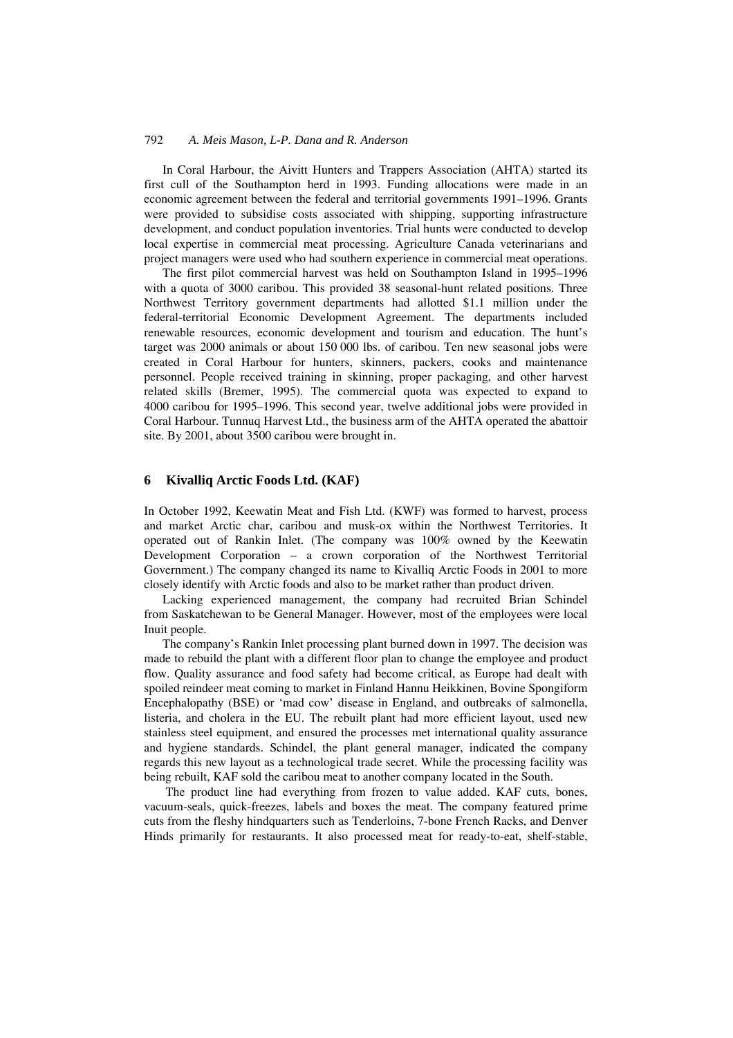In Coral Harbour, the Aivitt Hunters and Trappers Association (AHTA) started its first cull of the Southampton herd in 1993. Funding allocations were made in an economic agreement between the federal and territorial governments 1991–1996. Grants were provided to subsidise costs associated with shipping, supporting infrastructure development, and conduct population inventories. Trial hunts were conducted to develop local expertise in commercial meat processing. Agriculture Canada veterinarians and project managers were used who had southern experience in commercial meat operations.

The first pilot commercial harvest was held on Southampton Island in 1995–1996 with a quota of 3000 caribou. This provided 38 seasonal-hunt related positions. Three Northwest Territory government departments had allotted \$1.1 million under the federal-territorial Economic Development Agreement. The departments included renewable resources, economic development and tourism and education. The hunt's target was 2000 animals or about 150 000 lbs. of caribou. Ten new seasonal jobs were created in Coral Harbour for hunters, skinners, packers, cooks and maintenance personnel. People received training in skinning, proper packaging, and other harvest related skills (Bremer, 1995). The commercial quota was expected to expand to 4000 caribou for 1995–1996. This second year, twelve additional jobs were provided in Coral Harbour. Tunnuq Harvest Ltd., the business arm of the AHTA operated the abattoir site. By 2001, about 3500 caribou were brought in.

#### **6 Kivalliq Arctic Foods Ltd. (KAF)**

In October 1992, Keewatin Meat and Fish Ltd. (KWF) was formed to harvest, process and market Arctic char, caribou and musk-ox within the Northwest Territories. It operated out of Rankin Inlet. (The company was 100% owned by the Keewatin Development Corporation – a crown corporation of the Northwest Territorial Government.) The company changed its name to Kivalliq Arctic Foods in 2001 to more closely identify with Arctic foods and also to be market rather than product driven.

Lacking experienced management, the company had recruited Brian Schindel from Saskatchewan to be General Manager. However, most of the employees were local Inuit people.

The company's Rankin Inlet processing plant burned down in 1997. The decision was made to rebuild the plant with a different floor plan to change the employee and product flow. Quality assurance and food safety had become critical, as Europe had dealt with spoiled reindeer meat coming to market in Finland Hannu Heikkinen, Bovine Spongiform Encephalopathy (BSE) or 'mad cow' disease in England, and outbreaks of salmonella, listeria, and cholera in the EU. The rebuilt plant had more efficient layout, used new stainless steel equipment, and ensured the processes met international quality assurance and hygiene standards. Schindel, the plant general manager, indicated the company regards this new layout as a technological trade secret. While the processing facility was being rebuilt, KAF sold the caribou meat to another company located in the South.

 The product line had everything from frozen to value added. KAF cuts, bones, vacuum-seals, quick-freezes, labels and boxes the meat. The company featured prime cuts from the fleshy hindquarters such as Tenderloins, 7-bone French Racks, and Denver Hinds primarily for restaurants. It also processed meat for ready-to-eat, shelf-stable,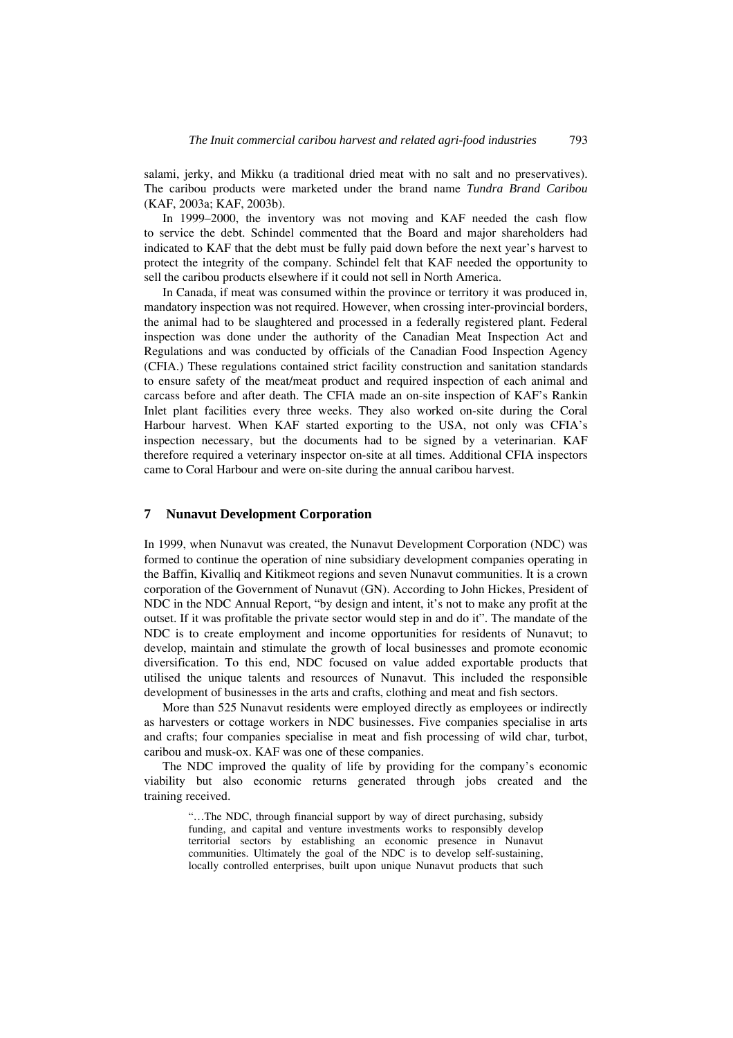salami, jerky, and Mikku (a traditional dried meat with no salt and no preservatives). The caribou products were marketed under the brand name *Tundra Brand Caribou* (KAF, 2003a; KAF, 2003b).

In 1999–2000, the inventory was not moving and KAF needed the cash flow to service the debt. Schindel commented that the Board and major shareholders had indicated to KAF that the debt must be fully paid down before the next year's harvest to protect the integrity of the company. Schindel felt that KAF needed the opportunity to sell the caribou products elsewhere if it could not sell in North America.

In Canada, if meat was consumed within the province or territory it was produced in, mandatory inspection was not required. However, when crossing inter-provincial borders, the animal had to be slaughtered and processed in a federally registered plant. Federal inspection was done under the authority of the Canadian Meat Inspection Act and Regulations and was conducted by officials of the Canadian Food Inspection Agency (CFIA.) These regulations contained strict facility construction and sanitation standards to ensure safety of the meat/meat product and required inspection of each animal and carcass before and after death. The CFIA made an on-site inspection of KAF's Rankin Inlet plant facilities every three weeks. They also worked on-site during the Coral Harbour harvest. When KAF started exporting to the USA, not only was CFIA's inspection necessary, but the documents had to be signed by a veterinarian. KAF therefore required a veterinary inspector on-site at all times. Additional CFIA inspectors came to Coral Harbour and were on-site during the annual caribou harvest.

#### **7 Nunavut Development Corporation**

In 1999, when Nunavut was created, the Nunavut Development Corporation (NDC) was formed to continue the operation of nine subsidiary development companies operating in the Baffin, Kivalliq and Kitikmeot regions and seven Nunavut communities. It is a crown corporation of the Government of Nunavut (GN). According to John Hickes, President of NDC in the NDC Annual Report, "by design and intent, it's not to make any profit at the outset. If it was profitable the private sector would step in and do it". The mandate of the NDC is to create employment and income opportunities for residents of Nunavut; to develop, maintain and stimulate the growth of local businesses and promote economic diversification. To this end, NDC focused on value added exportable products that utilised the unique talents and resources of Nunavut. This included the responsible development of businesses in the arts and crafts, clothing and meat and fish sectors.

More than 525 Nunavut residents were employed directly as employees or indirectly as harvesters or cottage workers in NDC businesses. Five companies specialise in arts and crafts; four companies specialise in meat and fish processing of wild char, turbot, caribou and musk-ox. KAF was one of these companies.

The NDC improved the quality of life by providing for the company's economic viability but also economic returns generated through jobs created and the training received.

"…The NDC, through financial support by way of direct purchasing, subsidy funding, and capital and venture investments works to responsibly develop territorial sectors by establishing an economic presence in Nunavut communities. Ultimately the goal of the NDC is to develop self-sustaining, locally controlled enterprises, built upon unique Nunavut products that such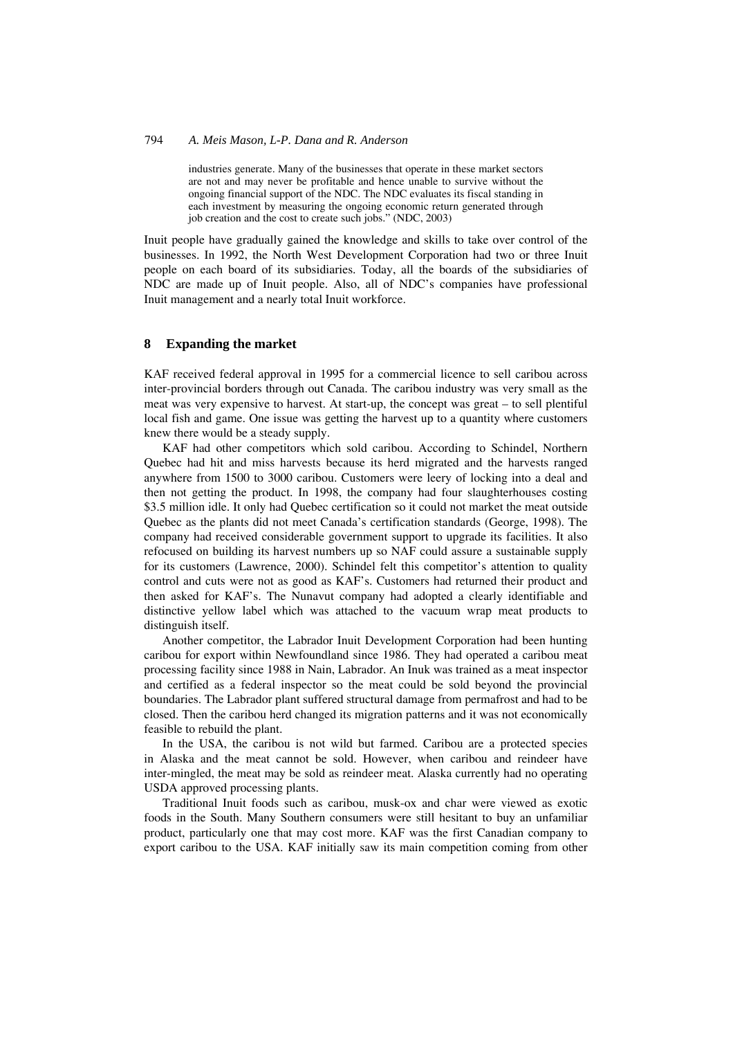industries generate. Many of the businesses that operate in these market sectors are not and may never be profitable and hence unable to survive without the ongoing financial support of the NDC. The NDC evaluates its fiscal standing in each investment by measuring the ongoing economic return generated through job creation and the cost to create such jobs." (NDC, 2003)

Inuit people have gradually gained the knowledge and skills to take over control of the businesses. In 1992, the North West Development Corporation had two or three Inuit people on each board of its subsidiaries. Today, all the boards of the subsidiaries of NDC are made up of Inuit people. Also, all of NDC's companies have professional Inuit management and a nearly total Inuit workforce.

## **8 Expanding the market**

KAF received federal approval in 1995 for a commercial licence to sell caribou across inter-provincial borders through out Canada. The caribou industry was very small as the meat was very expensive to harvest. At start-up, the concept was great – to sell plentiful local fish and game. One issue was getting the harvest up to a quantity where customers knew there would be a steady supply.

KAF had other competitors which sold caribou. According to Schindel, Northern Quebec had hit and miss harvests because its herd migrated and the harvests ranged anywhere from 1500 to 3000 caribou. Customers were leery of locking into a deal and then not getting the product. In 1998, the company had four slaughterhouses costing \$3.5 million idle. It only had Quebec certification so it could not market the meat outside Quebec as the plants did not meet Canada's certification standards (George, 1998). The company had received considerable government support to upgrade its facilities. It also refocused on building its harvest numbers up so NAF could assure a sustainable supply for its customers (Lawrence, 2000). Schindel felt this competitor's attention to quality control and cuts were not as good as KAF's. Customers had returned their product and then asked for KAF's. The Nunavut company had adopted a clearly identifiable and distinctive yellow label which was attached to the vacuum wrap meat products to distinguish itself.

Another competitor, the Labrador Inuit Development Corporation had been hunting caribou for export within Newfoundland since 1986. They had operated a caribou meat processing facility since 1988 in Nain, Labrador. An Inuk was trained as a meat inspector and certified as a federal inspector so the meat could be sold beyond the provincial boundaries. The Labrador plant suffered structural damage from permafrost and had to be closed. Then the caribou herd changed its migration patterns and it was not economically feasible to rebuild the plant.

In the USA, the caribou is not wild but farmed. Caribou are a protected species in Alaska and the meat cannot be sold. However, when caribou and reindeer have inter-mingled, the meat may be sold as reindeer meat. Alaska currently had no operating USDA approved processing plants.

Traditional Inuit foods such as caribou, musk-ox and char were viewed as exotic foods in the South. Many Southern consumers were still hesitant to buy an unfamiliar product, particularly one that may cost more. KAF was the first Canadian company to export caribou to the USA. KAF initially saw its main competition coming from other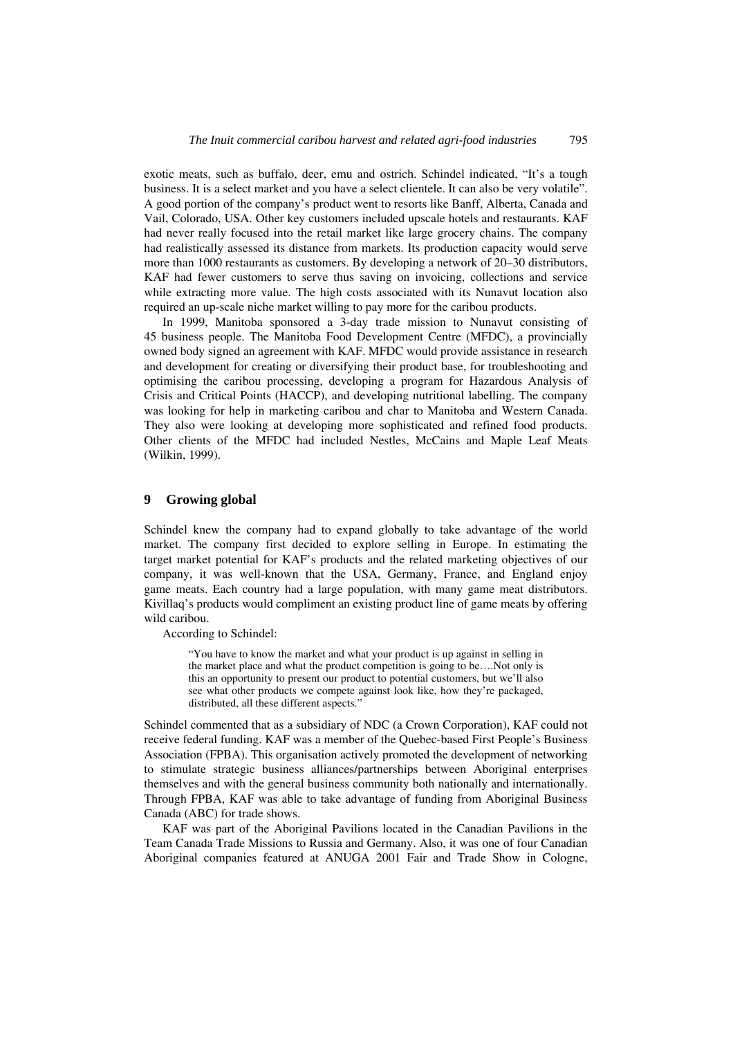exotic meats, such as buffalo, deer, emu and ostrich. Schindel indicated, "It's a tough business. It is a select market and you have a select clientele. It can also be very volatile". A good portion of the company's product went to resorts like Banff, Alberta, Canada and Vail, Colorado, USA. Other key customers included upscale hotels and restaurants. KAF had never really focused into the retail market like large grocery chains. The company had realistically assessed its distance from markets. Its production capacity would serve more than 1000 restaurants as customers. By developing a network of 20–30 distributors, KAF had fewer customers to serve thus saving on invoicing, collections and service while extracting more value. The high costs associated with its Nunavut location also required an up-scale niche market willing to pay more for the caribou products.

In 1999, Manitoba sponsored a 3-day trade mission to Nunavut consisting of 45 business people. The Manitoba Food Development Centre (MFDC), a provincially owned body signed an agreement with KAF. MFDC would provide assistance in research and development for creating or diversifying their product base, for troubleshooting and optimising the caribou processing, developing a program for Hazardous Analysis of Crisis and Critical Points (HACCP), and developing nutritional labelling. The company was looking for help in marketing caribou and char to Manitoba and Western Canada. They also were looking at developing more sophisticated and refined food products. Other clients of the MFDC had included Nestles, McCains and Maple Leaf Meats (Wilkin, 1999).

## **9 Growing global**

Schindel knew the company had to expand globally to take advantage of the world market. The company first decided to explore selling in Europe. In estimating the target market potential for KAF's products and the related marketing objectives of our company, it was well-known that the USA, Germany, France, and England enjoy game meats. Each country had a large population, with many game meat distributors. Kivillaq's products would compliment an existing product line of game meats by offering wild caribou.

According to Schindel:

"You have to know the market and what your product is up against in selling in the market place and what the product competition is going to be….Not only is this an opportunity to present our product to potential customers, but we'll also see what other products we compete against look like, how they're packaged, distributed, all these different aspects."

Schindel commented that as a subsidiary of NDC (a Crown Corporation), KAF could not receive federal funding. KAF was a member of the Quebec-based First People's Business Association (FPBA). This organisation actively promoted the development of networking to stimulate strategic business alliances/partnerships between Aboriginal enterprises themselves and with the general business community both nationally and internationally. Through FPBA, KAF was able to take advantage of funding from Aboriginal Business Canada (ABC) for trade shows.

KAF was part of the Aboriginal Pavilions located in the Canadian Pavilions in the Team Canada Trade Missions to Russia and Germany. Also, it was one of four Canadian Aboriginal companies featured at ANUGA 2001 Fair and Trade Show in Cologne,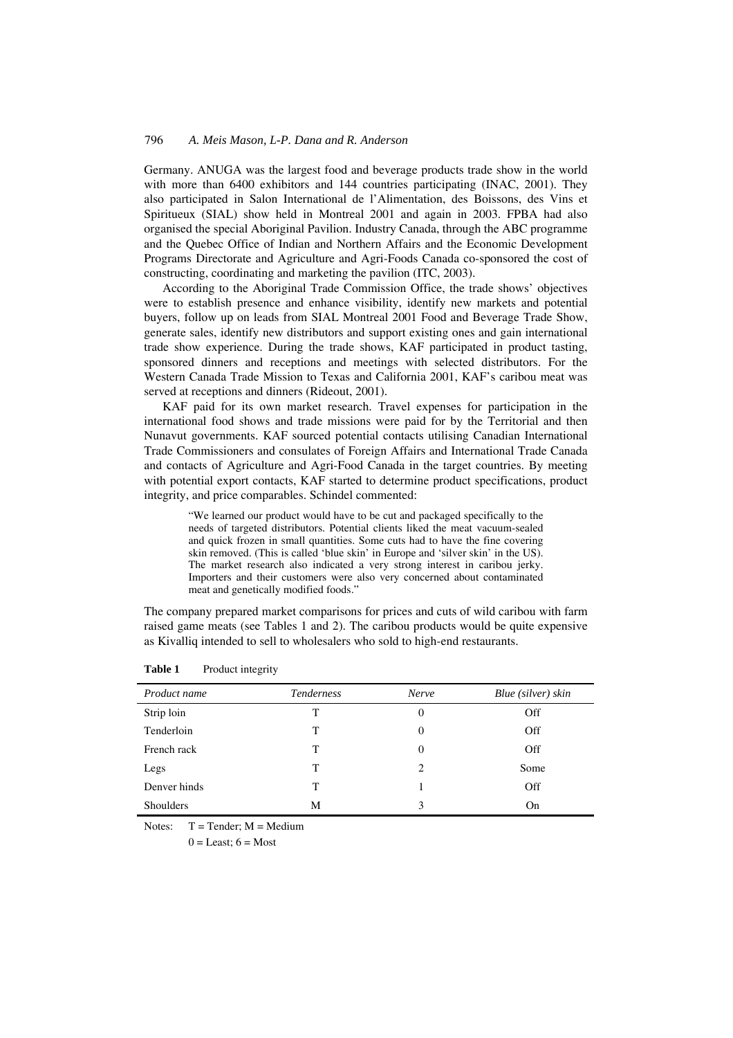Germany. ANUGA was the largest food and beverage products trade show in the world with more than 6400 exhibitors and 144 countries participating (INAC, 2001). They also participated in Salon International de l'Alimentation, des Boissons, des Vins et Spiritueux (SIAL) show held in Montreal 2001 and again in 2003. FPBA had also organised the special Aboriginal Pavilion. Industry Canada, through the ABC programme and the Quebec Office of Indian and Northern Affairs and the Economic Development Programs Directorate and Agriculture and Agri-Foods Canada co-sponsored the cost of constructing, coordinating and marketing the pavilion (ITC, 2003).

According to the Aboriginal Trade Commission Office, the trade shows' objectives were to establish presence and enhance visibility, identify new markets and potential buyers, follow up on leads from SIAL Montreal 2001 Food and Beverage Trade Show, generate sales, identify new distributors and support existing ones and gain international trade show experience. During the trade shows, KAF participated in product tasting, sponsored dinners and receptions and meetings with selected distributors. For the Western Canada Trade Mission to Texas and California 2001, KAF's caribou meat was served at receptions and dinners (Rideout, 2001).

KAF paid for its own market research. Travel expenses for participation in the international food shows and trade missions were paid for by the Territorial and then Nunavut governments. KAF sourced potential contacts utilising Canadian International Trade Commissioners and consulates of Foreign Affairs and International Trade Canada and contacts of Agriculture and Agri-Food Canada in the target countries. By meeting with potential export contacts, KAF started to determine product specifications, product integrity, and price comparables. Schindel commented:

"We learned our product would have to be cut and packaged specifically to the needs of targeted distributors. Potential clients liked the meat vacuum-sealed and quick frozen in small quantities. Some cuts had to have the fine covering skin removed. (This is called 'blue skin' in Europe and 'silver skin' in the US). The market research also indicated a very strong interest in caribou jerky. Importers and their customers were also very concerned about contaminated meat and genetically modified foods."

The company prepared market comparisons for prices and cuts of wild caribou with farm raised game meats (see Tables 1 and 2). The caribou products would be quite expensive as Kivalliq intended to sell to wholesalers who sold to high-end restaurants.

| Product name | <b>Tenderness</b> | Nerve          | Blue (silver) skin |
|--------------|-------------------|----------------|--------------------|
| Strip loin   | т                 | $\overline{0}$ | <b>Off</b>         |
| Tenderloin   | T                 | $\overline{0}$ | <b>Off</b>         |
| French rack  | T                 | $\overline{0}$ | Off                |
| Legs         | T                 | $\overline{2}$ | Some               |
| Denver hinds | T                 |                | <b>Off</b>         |
| Shoulders    | М                 | 3              | On                 |

Table 1 Product integrity

Notes:  $T = T$ ender; M = Medium

 $0 = I$  east;  $6 =$ Most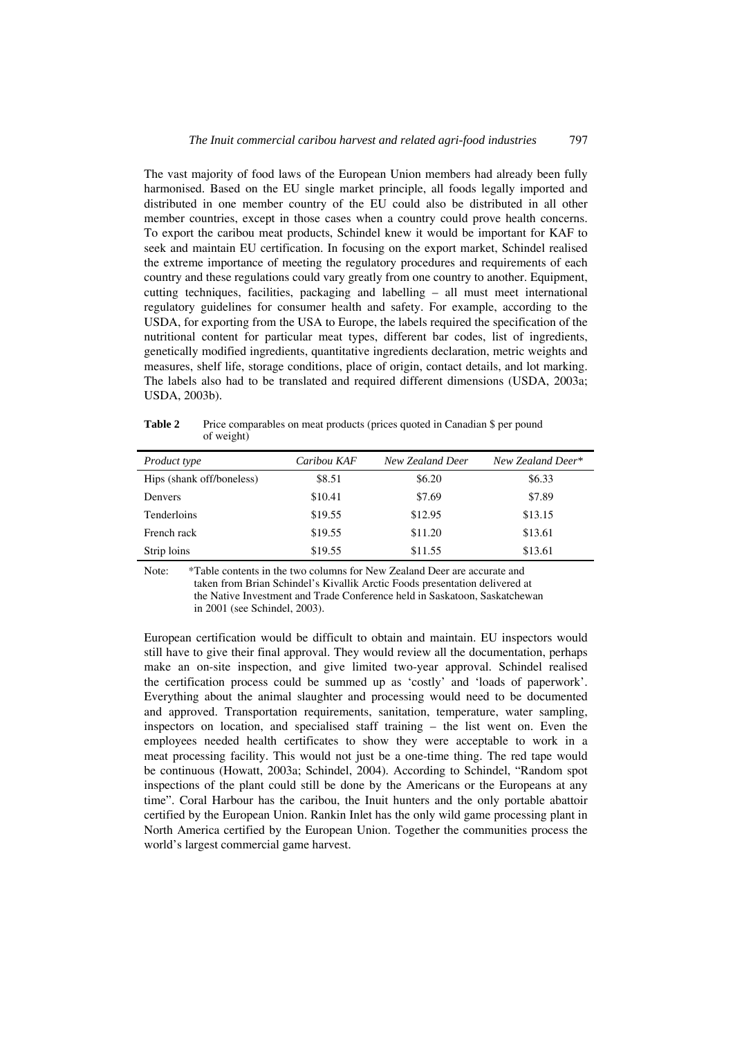The vast majority of food laws of the European Union members had already been fully harmonised. Based on the EU single market principle, all foods legally imported and distributed in one member country of the EU could also be distributed in all other member countries, except in those cases when a country could prove health concerns. To export the caribou meat products, Schindel knew it would be important for KAF to seek and maintain EU certification. In focusing on the export market, Schindel realised the extreme importance of meeting the regulatory procedures and requirements of each country and these regulations could vary greatly from one country to another. Equipment, cutting techniques, facilities, packaging and labelling – all must meet international regulatory guidelines for consumer health and safety. For example, according to the USDA, for exporting from the USA to Europe, the labels required the specification of the nutritional content for particular meat types, different bar codes, list of ingredients, genetically modified ingredients, quantitative ingredients declaration, metric weights and measures, shelf life, storage conditions, place of origin, contact details, and lot marking. The labels also had to be translated and required different dimensions (USDA, 2003a; USDA, 2003b).

Table 2 Price comparables on meat products (prices quoted in Canadian \$ per pound of weight)

| Product type              | Caribou KAF | New Zealand Deer | New Zealand Deer* |
|---------------------------|-------------|------------------|-------------------|
| Hips (shank off/boneless) | \$8.51      | \$6.20           | \$6.33            |
| <b>Denvers</b>            | \$10.41     | \$7.69           | \$7.89            |
| <b>Tenderloins</b>        | \$19.55     | \$12.95          | \$13.15           |
| French rack               | \$19.55     | \$11.20          | \$13.61           |
| Strip loins               | \$19.55     | \$11.55          | \$13.61           |

Note: \*Table contents in the two columns for New Zealand Deer are accurate and taken from Brian Schindel's Kivallik Arctic Foods presentation delivered at the Native Investment and Trade Conference held in Saskatoon, Saskatchewan in 2001 (see Schindel, 2003).

European certification would be difficult to obtain and maintain. EU inspectors would still have to give their final approval. They would review all the documentation, perhaps make an on-site inspection, and give limited two-year approval. Schindel realised the certification process could be summed up as 'costly' and 'loads of paperwork'. Everything about the animal slaughter and processing would need to be documented and approved. Transportation requirements, sanitation, temperature, water sampling, inspectors on location, and specialised staff training – the list went on. Even the employees needed health certificates to show they were acceptable to work in a meat processing facility. This would not just be a one-time thing. The red tape would be continuous (Howatt, 2003a; Schindel, 2004). According to Schindel, "Random spot inspections of the plant could still be done by the Americans or the Europeans at any time". Coral Harbour has the caribou, the Inuit hunters and the only portable abattoir certified by the European Union. Rankin Inlet has the only wild game processing plant in North America certified by the European Union. Together the communities process the world's largest commercial game harvest.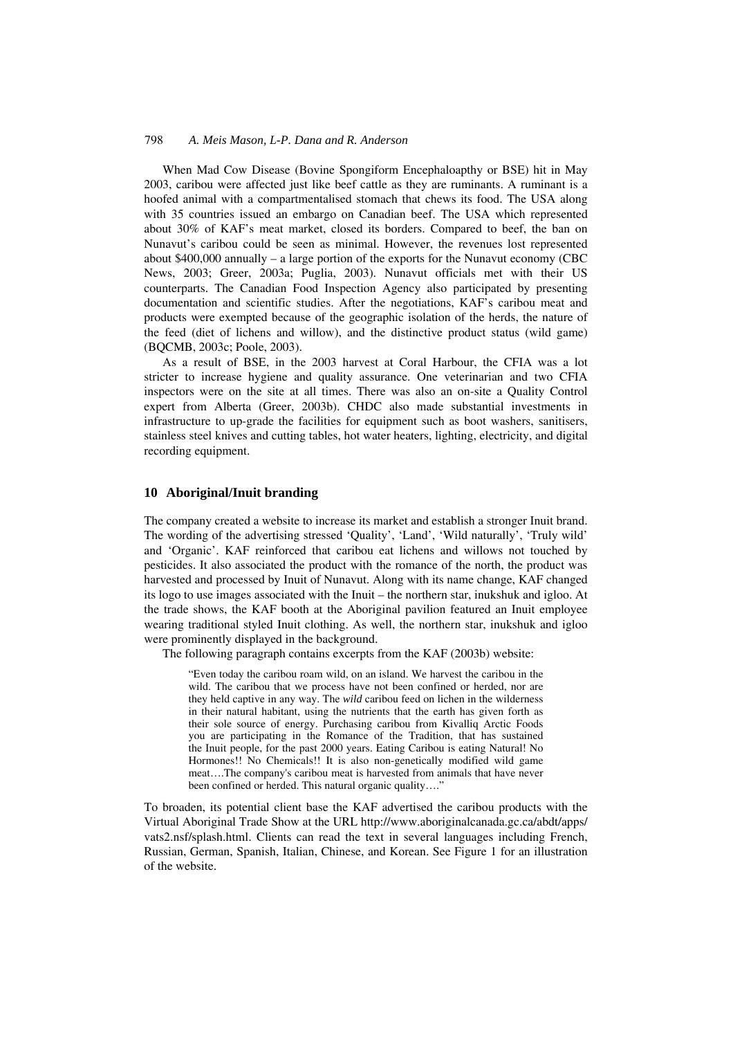When Mad Cow Disease (Bovine Spongiform Encephaloapthy or BSE) hit in May 2003, caribou were affected just like beef cattle as they are ruminants. A ruminant is a hoofed animal with a compartmentalised stomach that chews its food. The USA along with 35 countries issued an embargo on Canadian beef. The USA which represented about 30% of KAF's meat market, closed its borders. Compared to beef, the ban on Nunavut's caribou could be seen as minimal. However, the revenues lost represented about \$400,000 annually – a large portion of the exports for the Nunavut economy (CBC News, 2003; Greer, 2003a; Puglia, 2003). Nunavut officials met with their US counterparts. The Canadian Food Inspection Agency also participated by presenting documentation and scientific studies. After the negotiations, KAF's caribou meat and products were exempted because of the geographic isolation of the herds, the nature of the feed (diet of lichens and willow), and the distinctive product status (wild game) (BQCMB, 2003c; Poole, 2003).

As a result of BSE, in the 2003 harvest at Coral Harbour, the CFIA was a lot stricter to increase hygiene and quality assurance. One veterinarian and two CFIA inspectors were on the site at all times. There was also an on-site a Quality Control expert from Alberta (Greer, 2003b). CHDC also made substantial investments in infrastructure to up-grade the facilities for equipment such as boot washers, sanitisers, stainless steel knives and cutting tables, hot water heaters, lighting, electricity, and digital recording equipment.

#### **10 Aboriginal/Inuit branding**

The company created a website to increase its market and establish a stronger Inuit brand. The wording of the advertising stressed 'Quality', 'Land', 'Wild naturally', 'Truly wild' and 'Organic'. KAF reinforced that caribou eat lichens and willows not touched by pesticides. It also associated the product with the romance of the north, the product was harvested and processed by Inuit of Nunavut. Along with its name change, KAF changed its logo to use images associated with the Inuit – the northern star, inukshuk and igloo. At the trade shows, the KAF booth at the Aboriginal pavilion featured an Inuit employee wearing traditional styled Inuit clothing. As well, the northern star, inukshuk and igloo were prominently displayed in the background.

The following paragraph contains excerpts from the KAF (2003b) website:

"Even today the caribou roam wild, on an island. We harvest the caribou in the wild. The caribou that we process have not been confined or herded, nor are they held captive in any way. The *wild* caribou feed on lichen in the wilderness in their natural habitant, using the nutrients that the earth has given forth as their sole source of energy. Purchasing caribou from Kivalliq Arctic Foods you are participating in the Romance of the Tradition, that has sustained the Inuit people, for the past 2000 years. Eating Caribou is eating Natural! No Hormones!! No Chemicals!! It is also non-genetically modified wild game meat….The company's caribou meat is harvested from animals that have never been confined or herded. This natural organic quality…."

To broaden, its potential client base the KAF advertised the caribou products with the Virtual Aboriginal Trade Show at the URL http://www.aboriginalcanada.gc.ca/abdt/apps/ vats2.nsf/splash.html. Clients can read the text in several languages including French, Russian, German, Spanish, Italian, Chinese, and Korean. See Figure 1 for an illustration of the website.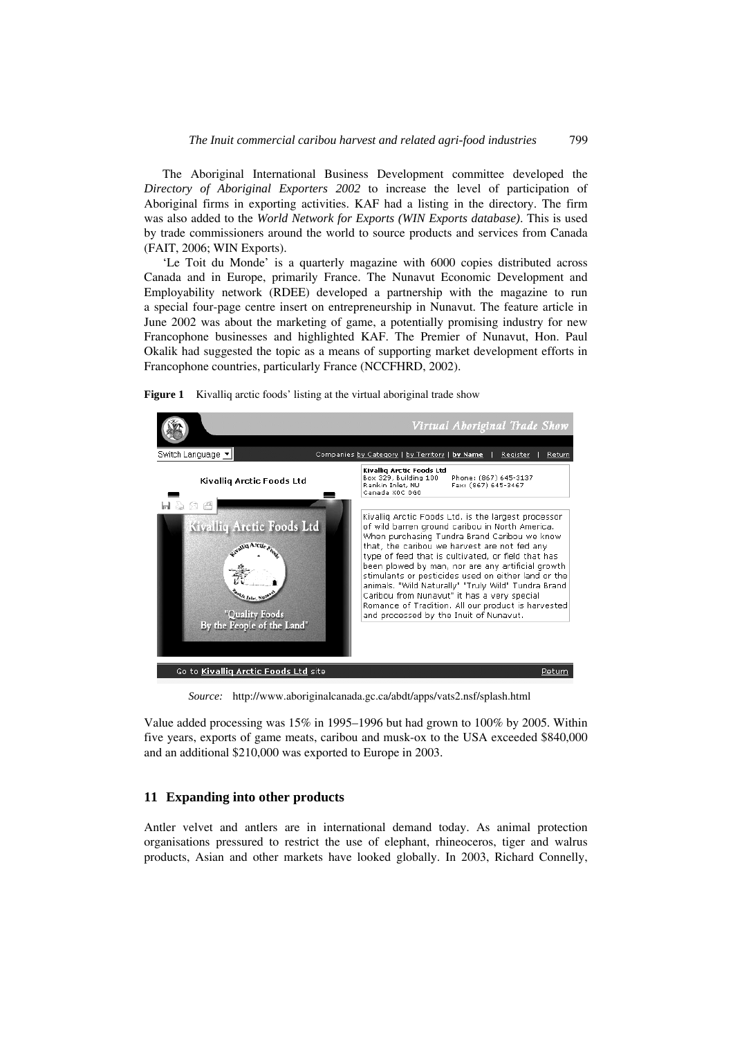The Aboriginal International Business Development committee developed the *Directory of Aboriginal Exporters 2002* to increase the level of participation of Aboriginal firms in exporting activities. KAF had a listing in the directory. The firm was also added to the *World Network for Exports (WIN Exports database)*. This is used by trade commissioners around the world to source products and services from Canada (FAIT, 2006; WIN Exports).

'Le Toit du Monde' is a quarterly magazine with 6000 copies distributed across Canada and in Europe, primarily France. The Nunavut Economic Development and Employability network (RDEE) developed a partnership with the magazine to run a special four-page centre insert on entrepreneurship in Nunavut. The feature article in June 2002 was about the marketing of game, a potentially promising industry for new Francophone businesses and highlighted KAF. The Premier of Nunavut, Hon. Paul Okalik had suggested the topic as a means of supporting market development efforts in Francophone countries, particularly France (NCCFHRD, 2002).



**Figure 1** Kivallig arctic foods' listing at the virtual aboriginal trade show

*Source:* http://www.aboriginalcanada.gc.ca/abdt/apps/vats2.nsf/splash.html

Value added processing was 15% in 1995–1996 but had grown to 100% by 2005. Within five years, exports of game meats, caribou and musk-ox to the USA exceeded \$840,000 and an additional \$210,000 was exported to Europe in 2003.

## **11 Expanding into other products**

Antler velvet and antlers are in international demand today. As animal protection organisations pressured to restrict the use of elephant, rhineoceros, tiger and walrus products, Asian and other markets have looked globally. In 2003, Richard Connelly,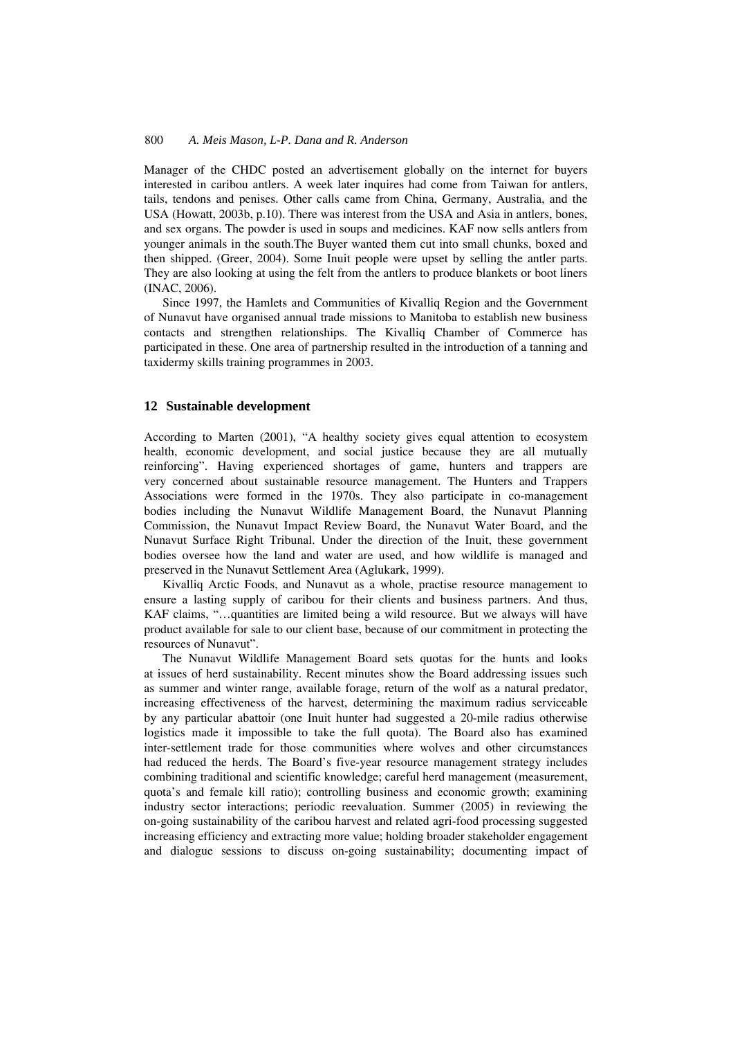Manager of the CHDC posted an advertisement globally on the internet for buyers interested in caribou antlers. A week later inquires had come from Taiwan for antlers, tails, tendons and penises. Other calls came from China, Germany, Australia, and the USA (Howatt, 2003b, p.10). There was interest from the USA and Asia in antlers, bones, and sex organs. The powder is used in soups and medicines. KAF now sells antlers from younger animals in the south.The Buyer wanted them cut into small chunks, boxed and then shipped. (Greer, 2004). Some Inuit people were upset by selling the antler parts. They are also looking at using the felt from the antlers to produce blankets or boot liners (INAC, 2006).

Since 1997, the Hamlets and Communities of Kivalliq Region and the Government of Nunavut have organised annual trade missions to Manitoba to establish new business contacts and strengthen relationships. The Kivalliq Chamber of Commerce has participated in these. One area of partnership resulted in the introduction of a tanning and taxidermy skills training programmes in 2003.

#### **12 Sustainable development**

According to Marten (2001), "A healthy society gives equal attention to ecosystem health, economic development, and social justice because they are all mutually reinforcing". Having experienced shortages of game, hunters and trappers are very concerned about sustainable resource management. The Hunters and Trappers Associations were formed in the 1970s. They also participate in co-management bodies including the Nunavut Wildlife Management Board, the Nunavut Planning Commission, the Nunavut Impact Review Board, the Nunavut Water Board, and the Nunavut Surface Right Tribunal. Under the direction of the Inuit, these government bodies oversee how the land and water are used, and how wildlife is managed and preserved in the Nunavut Settlement Area (Aglukark, 1999).

Kivalliq Arctic Foods, and Nunavut as a whole, practise resource management to ensure a lasting supply of caribou for their clients and business partners. And thus, KAF claims, "…quantities are limited being a wild resource. But we always will have product available for sale to our client base, because of our commitment in protecting the resources of Nunavut".

The Nunavut Wildlife Management Board sets quotas for the hunts and looks at issues of herd sustainability. Recent minutes show the Board addressing issues such as summer and winter range, available forage, return of the wolf as a natural predator, increasing effectiveness of the harvest, determining the maximum radius serviceable by any particular abattoir (one Inuit hunter had suggested a 20-mile radius otherwise logistics made it impossible to take the full quota). The Board also has examined inter-settlement trade for those communities where wolves and other circumstances had reduced the herds. The Board's five-year resource management strategy includes combining traditional and scientific knowledge; careful herd management (measurement, quota's and female kill ratio); controlling business and economic growth; examining industry sector interactions; periodic reevaluation. Summer (2005) in reviewing the on-going sustainability of the caribou harvest and related agri-food processing suggested increasing efficiency and extracting more value; holding broader stakeholder engagement and dialogue sessions to discuss on-going sustainability; documenting impact of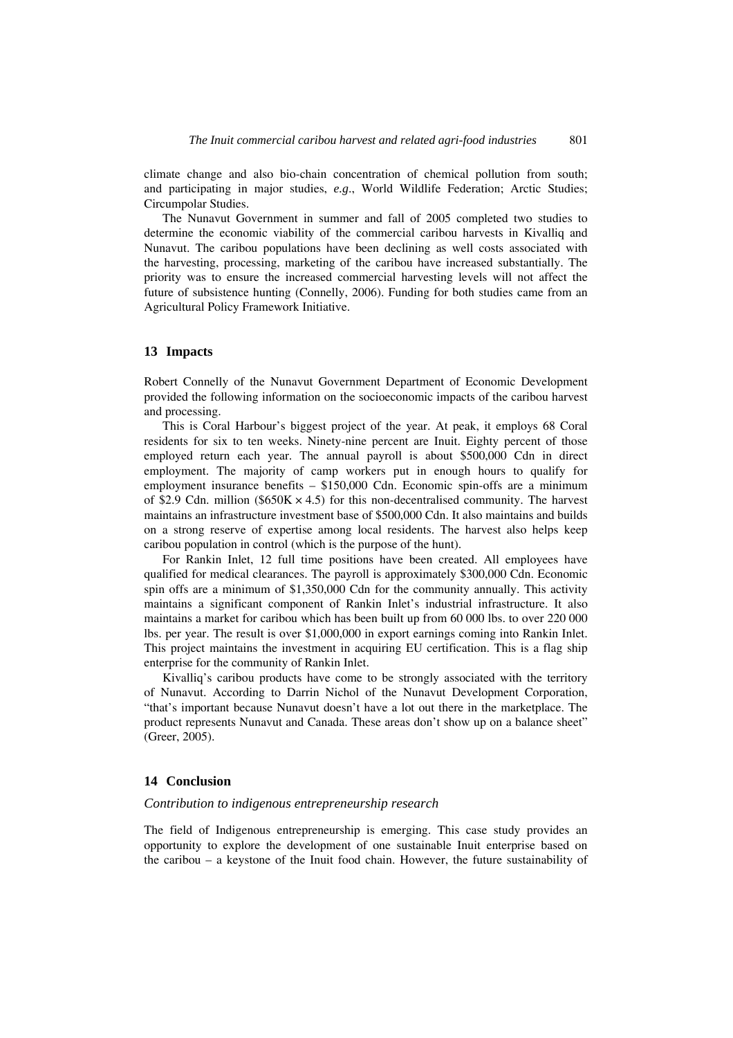climate change and also bio-chain concentration of chemical pollution from south; and participating in major studies, *e.g*., World Wildlife Federation; Arctic Studies; Circumpolar Studies.

The Nunavut Government in summer and fall of 2005 completed two studies to determine the economic viability of the commercial caribou harvests in Kivalliq and Nunavut. The caribou populations have been declining as well costs associated with the harvesting, processing, marketing of the caribou have increased substantially. The priority was to ensure the increased commercial harvesting levels will not affect the future of subsistence hunting (Connelly, 2006). Funding for both studies came from an Agricultural Policy Framework Initiative.

#### **13 Impacts**

Robert Connelly of the Nunavut Government Department of Economic Development provided the following information on the socioeconomic impacts of the caribou harvest and processing.

This is Coral Harbour's biggest project of the year. At peak, it employs 68 Coral residents for six to ten weeks. Ninety-nine percent are Inuit. Eighty percent of those employed return each year. The annual payroll is about \$500,000 Cdn in direct employment. The majority of camp workers put in enough hours to qualify for employment insurance benefits – \$150,000 Cdn. Economic spin-offs are a minimum of \$2.9 Cdn. million (\$650K  $\times$  4.5) for this non-decentralised community. The harvest maintains an infrastructure investment base of \$500,000 Cdn. It also maintains and builds on a strong reserve of expertise among local residents. The harvest also helps keep caribou population in control (which is the purpose of the hunt).

For Rankin Inlet, 12 full time positions have been created. All employees have qualified for medical clearances. The payroll is approximately \$300,000 Cdn. Economic spin offs are a minimum of \$1,350,000 Cdn for the community annually. This activity maintains a significant component of Rankin Inlet's industrial infrastructure. It also maintains a market for caribou which has been built up from 60 000 lbs. to over 220 000 lbs. per year. The result is over \$1,000,000 in export earnings coming into Rankin Inlet. This project maintains the investment in acquiring EU certification. This is a flag ship enterprise for the community of Rankin Inlet.

Kivalliq's caribou products have come to be strongly associated with the territory of Nunavut. According to Darrin Nichol of the Nunavut Development Corporation, "that's important because Nunavut doesn't have a lot out there in the marketplace. The product represents Nunavut and Canada. These areas don't show up on a balance sheet" (Greer, 2005).

#### **14 Conclusion**

#### *Contribution to indigenous entrepreneurship research*

The field of Indigenous entrepreneurship is emerging. This case study provides an opportunity to explore the development of one sustainable Inuit enterprise based on the caribou – a keystone of the Inuit food chain. However, the future sustainability of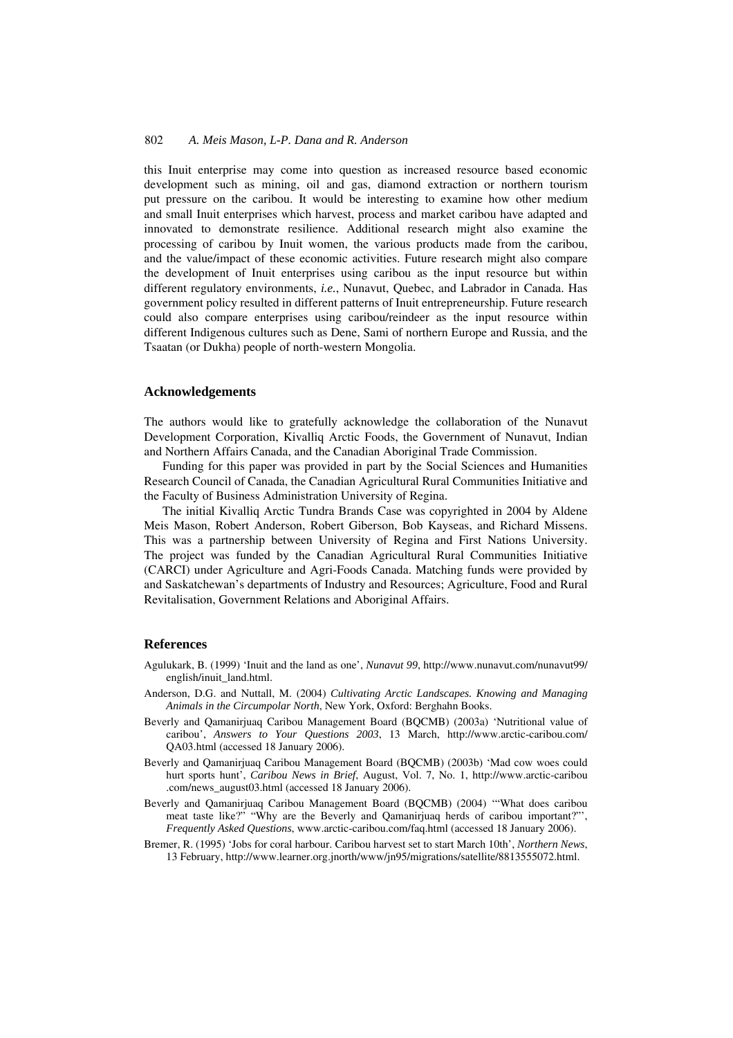this Inuit enterprise may come into question as increased resource based economic development such as mining, oil and gas, diamond extraction or northern tourism put pressure on the caribou. It would be interesting to examine how other medium and small Inuit enterprises which harvest, process and market caribou have adapted and innovated to demonstrate resilience. Additional research might also examine the processing of caribou by Inuit women, the various products made from the caribou, and the value/impact of these economic activities. Future research might also compare the development of Inuit enterprises using caribou as the input resource but within different regulatory environments, *i.e.*, Nunavut, Quebec, and Labrador in Canada. Has government policy resulted in different patterns of Inuit entrepreneurship. Future research could also compare enterprises using caribou/reindeer as the input resource within different Indigenous cultures such as Dene, Sami of northern Europe and Russia, and the Tsaatan (or Dukha) people of north-western Mongolia.

#### **Acknowledgements**

The authors would like to gratefully acknowledge the collaboration of the Nunavut Development Corporation, Kivalliq Arctic Foods, the Government of Nunavut, Indian and Northern Affairs Canada, and the Canadian Aboriginal Trade Commission.

Funding for this paper was provided in part by the Social Sciences and Humanities Research Council of Canada, the Canadian Agricultural Rural Communities Initiative and the Faculty of Business Administration University of Regina.

The initial Kivalliq Arctic Tundra Brands Case was copyrighted in 2004 by Aldene Meis Mason, Robert Anderson, Robert Giberson, Bob Kayseas, and Richard Missens. This was a partnership between University of Regina and First Nations University. The project was funded by the Canadian Agricultural Rural Communities Initiative (CARCI) under Agriculture and Agri-Foods Canada. Matching funds were provided by and Saskatchewan's departments of Industry and Resources; Agriculture, Food and Rural Revitalisation, Government Relations and Aboriginal Affairs.

#### **References**

- Agulukark, B. (1999) 'Inuit and the land as one', *Nunavut 99*, http://www.nunavut.com/nunavut99/ english/inuit\_land.html.
- Anderson, D.G. and Nuttall, M. (2004) *Cultivating Arctic Landscapes. Knowing and Managing Animals in the Circumpolar North*, New York, Oxford: Berghahn Books.
- Beverly and Qamanirjuaq Caribou Management Board (BQCMB) (2003a) 'Nutritional value of caribou', *Answers to Your Questions 2003*, 13 March, http://www.arctic-caribou.com/ QA03.html (accessed 18 January 2006).
- Beverly and Qamanirjuaq Caribou Management Board (BQCMB) (2003b) 'Mad cow woes could hurt sports hunt', *Caribou News in Brief*, August, Vol. 7, No. 1, http://www.arctic-caribou .com/news\_august03.html (accessed 18 January 2006).
- Beverly and Qamanirjuaq Caribou Management Board (BQCMB) (2004) '"What does caribou meat taste like?" "Why are the Beverly and Qamanirjuaq herds of caribou important?" *Frequently Asked Questions*, www.arctic-caribou.com/faq.html (accessed 18 January 2006).
- Bremer, R. (1995) 'Jobs for coral harbour. Caribou harvest set to start March 10th', *Northern News*, 13 February, http://www.learner.org.jnorth/www/jn95/migrations/satellite/8813555072.html.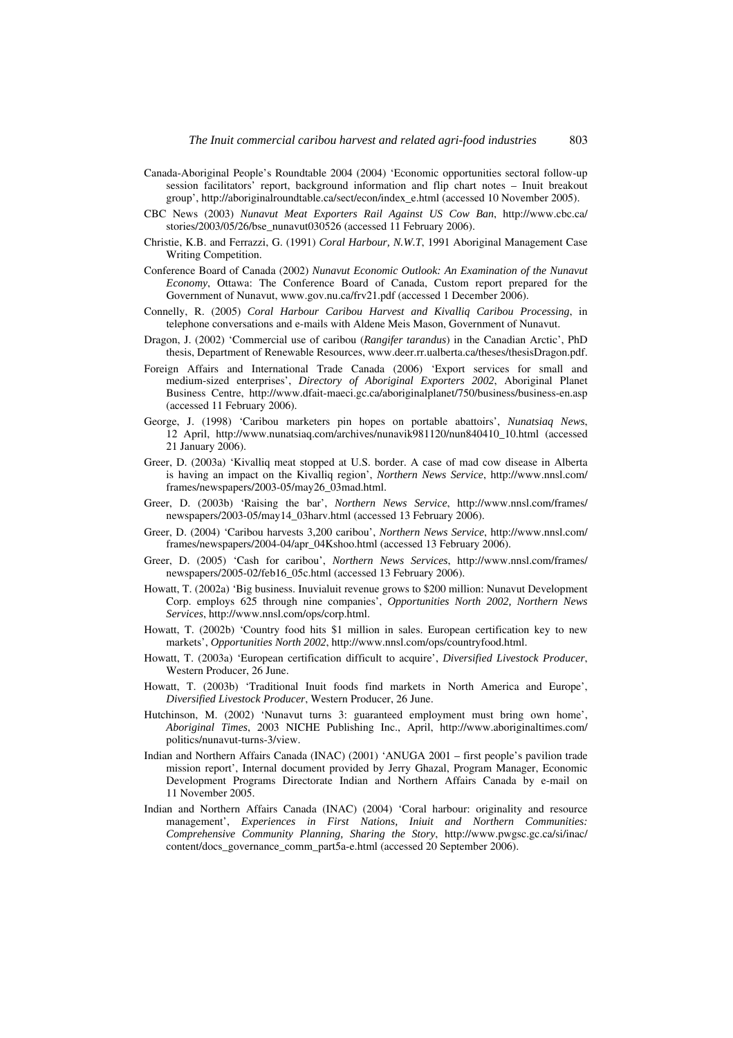- Canada-Aboriginal People's Roundtable 2004 (2004) 'Economic opportunities sectoral follow-up session facilitators' report, background information and flip chart notes – Inuit breakout group', http://aboriginalroundtable.ca/sect/econ/index\_e.html (accessed 10 November 2005).
- CBC News (2003) *Nunavut Meat Exporters Rail Against US Cow Ban*, http://www.cbc.ca/ stories/2003/05/26/bse\_nunavut030526 (accessed 11 February 2006).
- Christie, K.B. and Ferrazzi, G. (1991) *Coral Harbour, N.W.T*, 1991 Aboriginal Management Case Writing Competition.
- Conference Board of Canada (2002) *Nunavut Economic Outlook: An Examination of the Nunavut Economy*, Ottawa: The Conference Board of Canada, Custom report prepared for the Government of Nunavut, www.gov.nu.ca/frv21.pdf (accessed 1 December 2006).
- Connelly, R. (2005) *Coral Harbour Caribou Harvest and Kivalliq Caribou Processing*, in telephone conversations and e-mails with Aldene Meis Mason, Government of Nunavut.
- Dragon, J. (2002) 'Commercial use of caribou (*Rangifer tarandus*) in the Canadian Arctic', PhD thesis, Department of Renewable Resources, www.deer.rr.ualberta.ca/theses/thesisDragon.pdf.
- Foreign Affairs and International Trade Canada (2006) 'Export services for small and medium-sized enterprises', *Directory of Aboriginal Exporters 2002*, Aboriginal Planet Business Centre, http://www.dfait-maeci.gc.ca/aboriginalplanet/750/business/business-en.asp (accessed 11 February 2006).
- George, J. (1998) 'Caribou marketers pin hopes on portable abattoirs', *Nunatsiaq News*, 12 April, http://www.nunatsiaq.com/archives/nunavik981120/nun840410\_10.html (accessed 21 January 2006).
- Greer, D. (2003a) 'Kivalliq meat stopped at U.S. border. A case of mad cow disease in Alberta is having an impact on the Kivalliq region', *Northern News Service*, http://www.nnsl.com/ frames/newspapers/2003-05/may26\_03mad.html.
- Greer, D. (2003b) 'Raising the bar', *Northern News Service*, http://www.nnsl.com/frames/ newspapers/2003-05/may14\_03harv.html (accessed 13 February 2006).
- Greer, D. (2004) 'Caribou harvests 3,200 caribou', *Northern News Service*, http://www.nnsl.com/ frames/newspapers/2004-04/apr\_04Kshoo.html (accessed 13 February 2006).
- Greer, D. (2005) 'Cash for caribou', *Northern News Services*, http://www.nnsl.com/frames/ newspapers/2005-02/feb16\_05c.html (accessed 13 February 2006).
- Howatt, T. (2002a) 'Big business. Inuvialuit revenue grows to \$200 million: Nunavut Development Corp. employs 625 through nine companies', *Opportunities North 2002, Northern News Services*, http://www.nnsl.com/ops/corp.html.
- Howatt, T. (2002b) 'Country food hits \$1 million in sales. European certification key to new markets', *Opportunities North 2002*, http://www.nnsl.com/ops/countryfood.html.
- Howatt, T. (2003a) 'European certification difficult to acquire', *Diversified Livestock Producer*, Western Producer, 26 June.
- Howatt, T. (2003b) 'Traditional Inuit foods find markets in North America and Europe', *Diversified Livestock Producer*, Western Producer, 26 June.
- Hutchinson, M. (2002) 'Nunavut turns 3: guaranteed employment must bring own home', *Aboriginal Times*, 2003 NICHE Publishing Inc., April, http://www.aboriginaltimes.com/ politics/nunavut-turns-3/view.
- Indian and Northern Affairs Canada (INAC) (2001) 'ANUGA 2001 first people's pavilion trade mission report', Internal document provided by Jerry Ghazal, Program Manager, Economic Development Programs Directorate Indian and Northern Affairs Canada by e-mail on 11 November 2005.
- Indian and Northern Affairs Canada (INAC) (2004) 'Coral harbour: originality and resource management', *Experiences in First Nations, Iniuit and Northern Communities: Comprehensive Community Planning, Sharing the Story*, http://www.pwgsc.gc.ca/si/inac/ content/docs\_governance\_comm\_part5a-e.html (accessed 20 September 2006).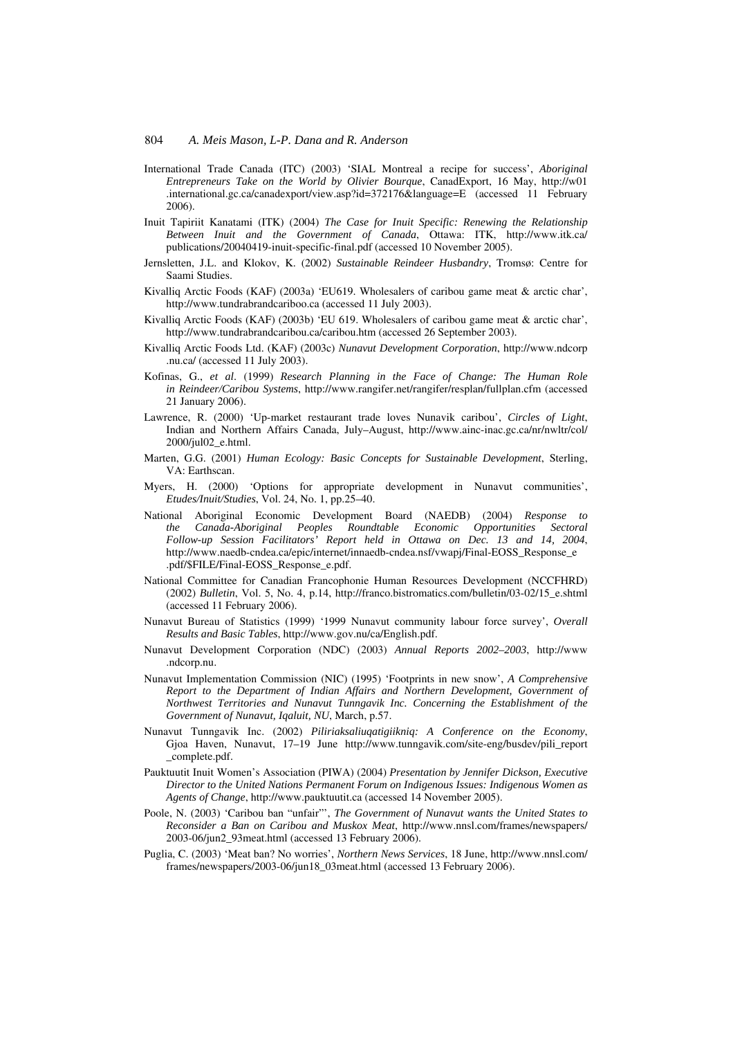- International Trade Canada (ITC) (2003) 'SIAL Montreal a recipe for success', *Aboriginal Entrepreneurs Take on the World by Olivier Bourque*, CanadExport, 16 May, http://w01 .international.gc.ca/canadexport/view.asp?id=372176&language=E (accessed 11 February 2006).
- Inuit Tapiriit Kanatami (ITK) (2004) *The Case for Inuit Specific: Renewing the Relationship Between Inuit and the Government of Canada*, Ottawa: ITK, http://www.itk.ca/ publications/20040419-inuit-specific-final.pdf (accessed 10 November 2005).
- Jernsletten, J.L. and Klokov, K. (2002) *Sustainable Reindeer Husbandry*, Tromsø: Centre for Saami Studies.
- Kivalliq Arctic Foods (KAF) (2003a) 'EU619. Wholesalers of caribou game meat & arctic char', http://www.tundrabrandcariboo.ca (accessed 11 July 2003).
- Kivallia Arctic Foods (KAF) (2003b) 'EU 619. Wholesalers of caribou game meat & arctic char', http://www.tundrabrandcaribou.ca/caribou.htm (accessed 26 September 2003).
- Kivalliq Arctic Foods Ltd. (KAF) (2003c) *Nunavut Development Corporation*, http://www.ndcorp .nu.ca/ (accessed 11 July 2003).
- Kofinas, G., *et al*. (1999) *Research Planning in the Face of Change: The Human Role in Reindeer/Caribou Systems*, http://www.rangifer.net/rangifer/resplan/fullplan.cfm (accessed 21 January 2006).
- Lawrence, R. (2000) 'Up-market restaurant trade loves Nunavik caribou', *Circles of Light*, Indian and Northern Affairs Canada, July–August, http://www.ainc-inac.gc.ca/nr/nwltr/col/ 2000/jul02\_e.html.
- Marten, G.G. (2001) *Human Ecology: Basic Concepts for Sustainable Development*, Sterling, VA: Earthscan.
- Myers, H. (2000) 'Options for appropriate development in Nunavut communities', *Etudes/Inuit/Studies*, Vol. 24, No. 1, pp.25–40.
- National Aboriginal Economic Development Board (NAEDB) (2004) *Response to the Canada-Aboriginal Peoples Roundtable Economic Opportunities Sectoral Follow-up Session Facilitators' Report held in Ottawa on Dec. 13 and 14, 2004*, http://www.naedb-cndea.ca/epic/internet/innaedb-cndea.nsf/vwapj/Final-EOSS\_Response\_e .pdf/\$FILE/Final-EOSS\_Response\_e.pdf.
- National Committee for Canadian Francophonie Human Resources Development (NCCFHRD) (2002) *Bulletin*, Vol. 5, No. 4, p.14, http://franco.bistromatics.com/bulletin/03-02/15\_e.shtml (accessed 11 February 2006).
- Nunavut Bureau of Statistics (1999) '1999 Nunavut community labour force survey', *Overall Results and Basic Tables*, http://www.gov.nu/ca/English.pdf.
- Nunavut Development Corporation (NDC) (2003) *Annual Reports 2002–2003*, http://www .ndcorp.nu.
- Nunavut Implementation Commission (NIC) (1995) 'Footprints in new snow', *A Comprehensive Report to the Department of Indian Affairs and Northern Development, Government of Northwest Territories and Nunavut Tunngavik Inc. Concerning the Establishment of the Government of Nunavut, Iqaluit, NU*, March, p.57.
- Nunavut Tunngavik Inc. (2002) *Piliriaksaliuqatigiikniq: A Conference on the Economy*, Gjoa Haven, Nunavut, 17–19 June http://www.tunngavik.com/site-eng/busdev/pili\_report \_complete.pdf.
- Pauktuutit Inuit Women's Association (PIWA) (2004) *Presentation by Jennifer Dickson, Executive Director to the United Nations Permanent Forum on Indigenous Issues: Indigenous Women as Agents of Change*, http://www.pauktuutit.ca (accessed 14 November 2005).
- Poole, N. (2003) 'Caribou ban "unfair"', *The Government of Nunavut wants the United States to Reconsider a Ban on Caribou and Muskox Meat*, http://www.nnsl.com/frames/newspapers/ 2003-06/jun2\_93meat.html (accessed 13 February 2006).
- Puglia, C. (2003) 'Meat ban? No worries', *Northern News Services*, 18 June, http://www.nnsl.com/ frames/newspapers/2003-06/jun18\_03meat.html (accessed 13 February 2006).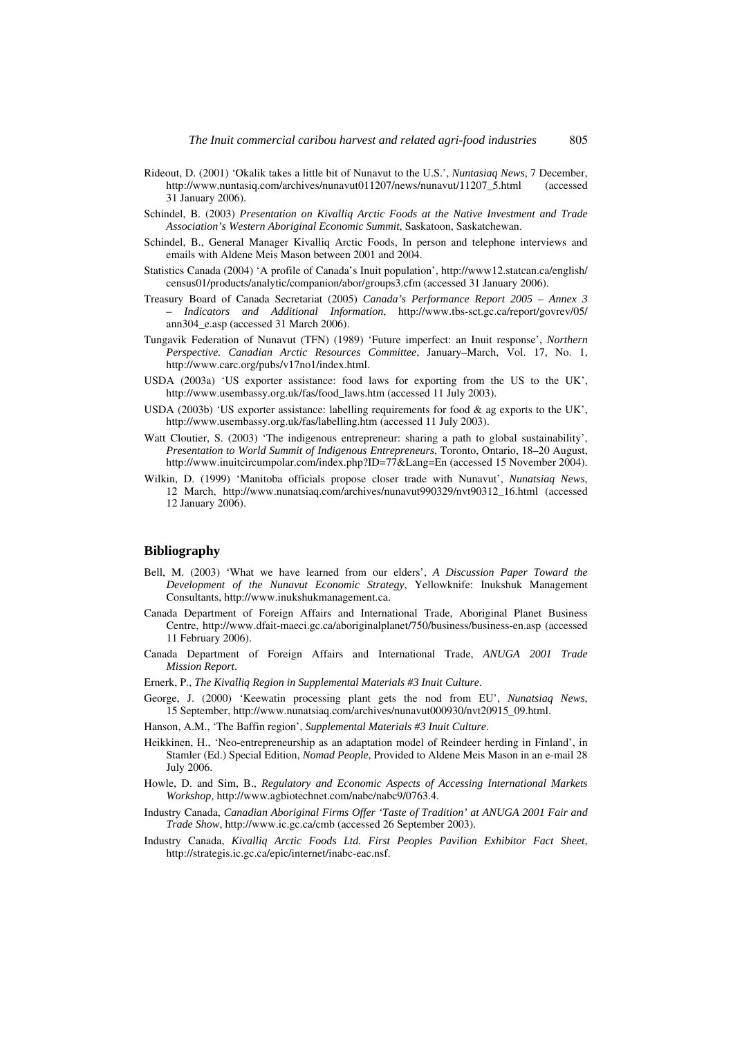- Rideout, D. (2001) 'Okalik takes a little bit of Nunavut to the U.S.', *Nuntasiaq News*, 7 December, http://www.nuntasiq.com/archives/nunavut011207/news/nunavut/11207\_5.html (accessed 31 January 2006).
- Schindel, B. (2003) *Presentation on Kivalliq Arctic Foods at the Native Investment and Trade Association's Western Aboriginal Economic Summit*, Saskatoon, Saskatchewan.
- Schindel, B., General Manager Kivalliq Arctic Foods, In person and telephone interviews and emails with Aldene Meis Mason between 2001 and 2004.
- Statistics Canada (2004) 'A profile of Canada's Inuit population', http://www12.statcan.ca/english/ census01/products/analytic/companion/abor/groups3.cfm (accessed 31 January 2006).
- Treasury Board of Canada Secretariat (2005) *Canada's Performance Report 2005 Annex 3 – Indicators and Additional Information*, http://www.tbs-sct.gc.ca/report/govrev/05/ ann304\_e.asp (accessed 31 March 2006).
- Tungavik Federation of Nunavut (TFN) (1989) 'Future imperfect: an Inuit response', *Northern Perspective. Canadian Arctic Resources Committee*, January–March, Vol. 17, No. 1, http://www.carc.org/pubs/v17no1/index.html.
- USDA (2003a) 'US exporter assistance: food laws for exporting from the US to the UK', http://www.usembassy.org.uk/fas/food\_laws.htm (accessed 11 July 2003).
- USDA (2003b) 'US exporter assistance: labelling requirements for food  $\&$  ag exports to the UK', http://www.usembassy.org.uk/fas/labelling.htm (accessed 11 July 2003).
- Watt Cloutier, S. (2003) 'The indigenous entrepreneur: sharing a path to global sustainability', *Presentation to World Summit of Indigenous Entrepreneurs*, Toronto, Ontario, 18–20 August, http://www.inuitcircumpolar.com/index.php?ID=77&Lang=En (accessed 15 November 2004).
- Wilkin, D. (1999) 'Manitoba officials propose closer trade with Nunavut', *Nunatsiaq News*, 12 March, http://www.nunatsiaq.com/archives/nunavut990329/nvt90312\_16.html (accessed 12 January 2006).

#### **Bibliography**

- Bell, M. (2003) 'What we have learned from our elders', *A Discussion Paper Toward the Development of the Nunavut Economic Strategy*, Yellowknife: Inukshuk Management Consultants, http://www.inukshukmanagement.ca.
- Canada Department of Foreign Affairs and International Trade, Aboriginal Planet Business Centre, http://www.dfait-maeci.gc.ca/aboriginalplanet/750/business/business-en.asp (accessed 11 February 2006).
- Canada Department of Foreign Affairs and International Trade, *ANUGA 2001 Trade Mission Report*.
- Ernerk, P., *The Kivalliq Region in Supplemental Materials #3 Inuit Culture*.
- George, J. (2000) 'Keewatin processing plant gets the nod from EU', *Nunatsiaq News*, 15 September, http://www.nunatsiaq.com/archives/nunavut000930/nvt20915\_09.html.
- Hanson, A.M., 'The Baffin region', *Supplemental Materials #3 Inuit Culture*.
- Heikkinen, H., 'Neo-entrepreneurship as an adaptation model of Reindeer herding in Finland', in Stamler (Ed.) Special Edition, *Nomad People*, Provided to Aldene Meis Mason in an e-mail 28 July 2006.
- Howle, D. and Sim, B., *Regulatory and Economic Aspects of Accessing International Markets Workshop*, http://www.agbiotechnet.com/nabc/nabc9/0763.4.
- Industry Canada, *Canadian Aboriginal Firms Offer 'Taste of Tradition' at ANUGA 2001 Fair and Trade Show*, http://www.ic.gc.ca/cmb (accessed 26 September 2003).
- Industry Canada, *Kivalliq Arctic Foods Ltd. First Peoples Pavilion Exhibitor Fact Sheet*, http://strategis.ic.gc.ca/epic/internet/inabc-eac.nsf.